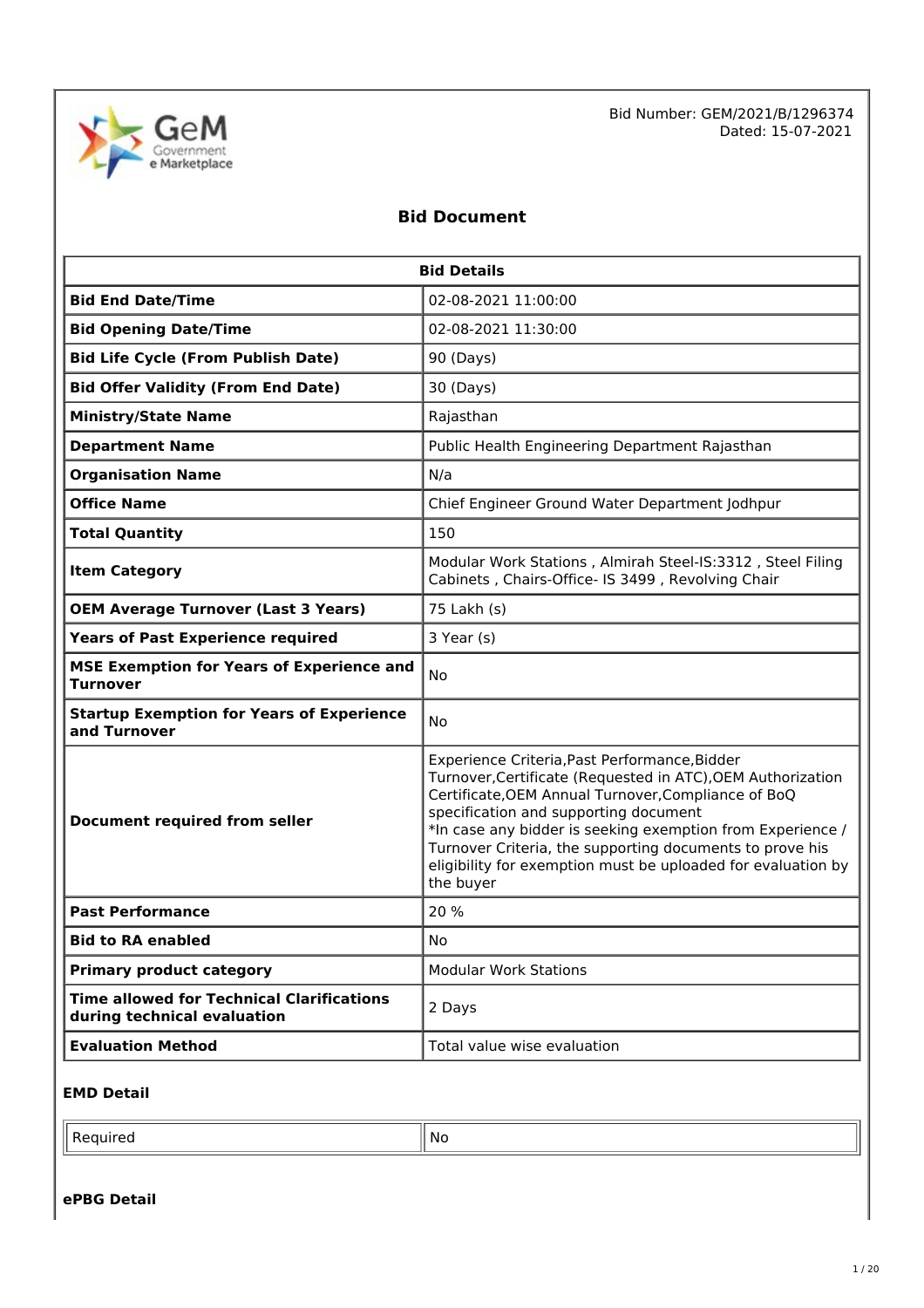

Bid Number: GEM/2021/B/1296374 Dated: 15-07-2021

# **Bid Document**

| <b>Bid Details</b>                                                              |                                                                                                                                                                                                                                                                                                                                                                                                                     |  |  |
|---------------------------------------------------------------------------------|---------------------------------------------------------------------------------------------------------------------------------------------------------------------------------------------------------------------------------------------------------------------------------------------------------------------------------------------------------------------------------------------------------------------|--|--|
| <b>Bid End Date/Time</b>                                                        | 02-08-2021 11:00:00                                                                                                                                                                                                                                                                                                                                                                                                 |  |  |
| <b>Bid Opening Date/Time</b>                                                    | 02-08-2021 11:30:00                                                                                                                                                                                                                                                                                                                                                                                                 |  |  |
| <b>Bid Life Cycle (From Publish Date)</b>                                       | 90 (Days)                                                                                                                                                                                                                                                                                                                                                                                                           |  |  |
| <b>Bid Offer Validity (From End Date)</b>                                       | 30 (Days)                                                                                                                                                                                                                                                                                                                                                                                                           |  |  |
| <b>Ministry/State Name</b>                                                      | Rajasthan                                                                                                                                                                                                                                                                                                                                                                                                           |  |  |
| <b>Department Name</b>                                                          | Public Health Engineering Department Rajasthan                                                                                                                                                                                                                                                                                                                                                                      |  |  |
| <b>Organisation Name</b>                                                        | N/a                                                                                                                                                                                                                                                                                                                                                                                                                 |  |  |
| <b>Office Name</b>                                                              | Chief Engineer Ground Water Department Jodhpur                                                                                                                                                                                                                                                                                                                                                                      |  |  |
| <b>Total Quantity</b>                                                           | 150                                                                                                                                                                                                                                                                                                                                                                                                                 |  |  |
| <b>Item Category</b>                                                            | Modular Work Stations, Almirah Steel-IS:3312, Steel Filing<br>Cabinets, Chairs-Office- IS 3499, Revolving Chair                                                                                                                                                                                                                                                                                                     |  |  |
| <b>OEM Average Turnover (Last 3 Years)</b>                                      | 75 Lakh (s)                                                                                                                                                                                                                                                                                                                                                                                                         |  |  |
| <b>Years of Past Experience required</b>                                        | 3 Year (s)                                                                                                                                                                                                                                                                                                                                                                                                          |  |  |
| <b>MSE Exemption for Years of Experience and</b><br><b>Turnover</b>             | No                                                                                                                                                                                                                                                                                                                                                                                                                  |  |  |
| <b>Startup Exemption for Years of Experience</b><br>and Turnover                | <b>No</b>                                                                                                                                                                                                                                                                                                                                                                                                           |  |  |
| Document required from seller                                                   | Experience Criteria, Past Performance, Bidder<br>Turnover, Certificate (Requested in ATC), OEM Authorization<br>Certificate, OEM Annual Turnover, Compliance of BoQ<br>specification and supporting document<br>*In case any bidder is seeking exemption from Experience /<br>Turnover Criteria, the supporting documents to prove his<br>eligibility for exemption must be uploaded for evaluation by<br>the buyer |  |  |
| <b>Past Performance</b>                                                         | 20 %                                                                                                                                                                                                                                                                                                                                                                                                                |  |  |
| <b>Bid to RA enabled</b>                                                        | No                                                                                                                                                                                                                                                                                                                                                                                                                  |  |  |
| <b>Primary product category</b>                                                 | <b>Modular Work Stations</b>                                                                                                                                                                                                                                                                                                                                                                                        |  |  |
| <b>Time allowed for Technical Clarifications</b><br>during technical evaluation | 2 Days                                                                                                                                                                                                                                                                                                                                                                                                              |  |  |
| <b>Evaluation Method</b>                                                        | Total value wise evaluation                                                                                                                                                                                                                                                                                                                                                                                         |  |  |

#### **EMD Detail**

 $\blacksquare$  Required  $\blacksquare$  No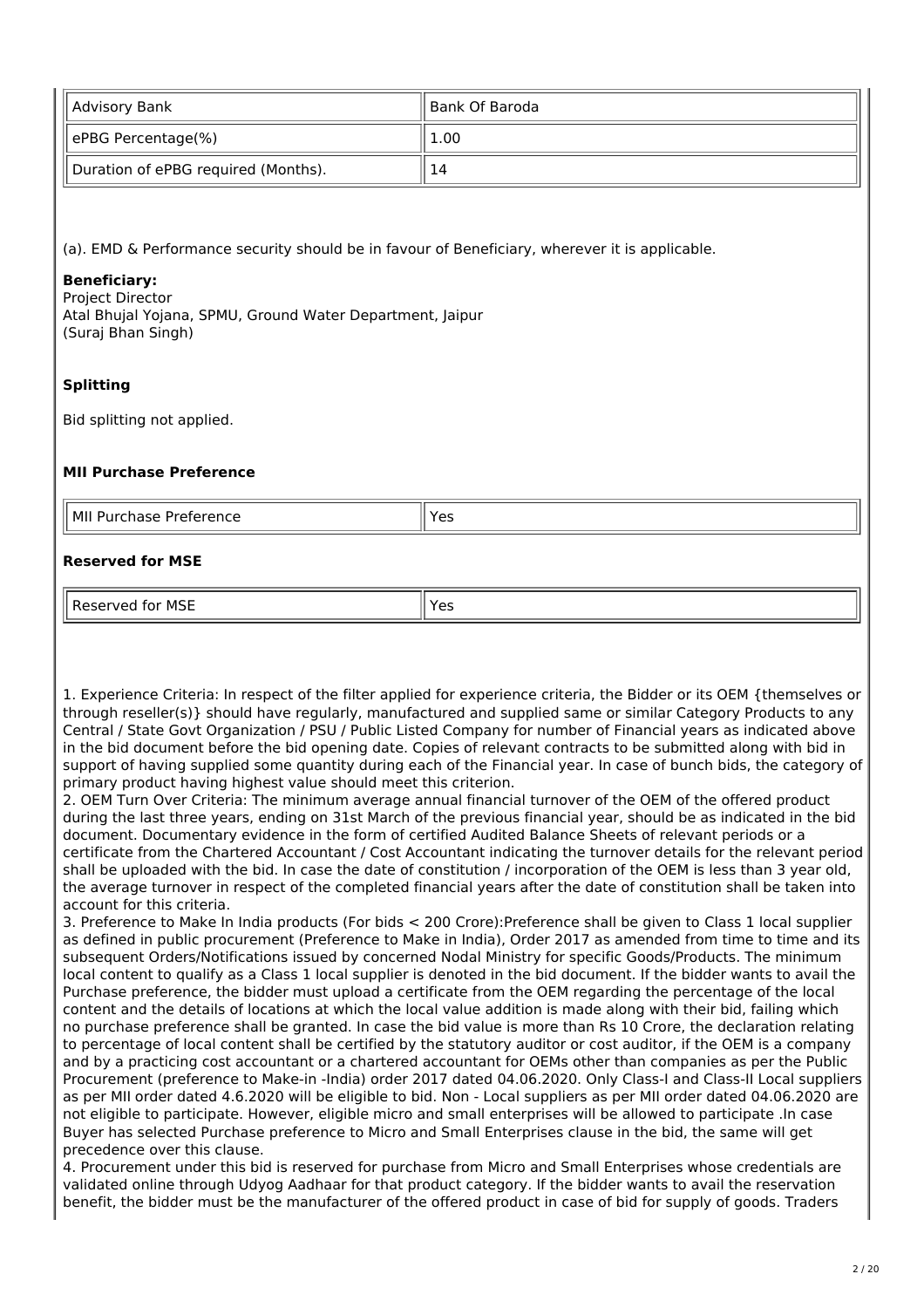| Advisory Bank                       | ll Bank Of Baroda |
|-------------------------------------|-------------------|
| ePBG Percentage(%)                  | 1.00              |
| Duration of ePBG required (Months). | 14                |

(a). EMD & Performance security should be in favour of Beneficiary, wherever it is applicable.

#### **Beneficiary:**

Project Director Atal Bhujal Yojana, SPMU, Ground Water Department, Jaipur (Suraj Bhan Singh)

#### **Splitting**

Bid splitting not applied.

#### **MII Purchase Preference**

| l Mil<br>າase<br>.<br>Purch<br>PIPIPIPII<br>---<br>. | $\sim$<br>ີ |
|------------------------------------------------------|-------------|
|                                                      |             |

#### **Reserved for MSE**

Reserved for MSE Yes

1. Experience Criteria: In respect of the filter applied for experience criteria, the Bidder or its OEM {themselves or through reseller(s)} should have regularly, manufactured and supplied same or similar Category Products to any Central / State Govt Organization / PSU / Public Listed Company for number of Financial years as indicated above in the bid document before the bid opening date. Copies of relevant contracts to be submitted along with bid in support of having supplied some quantity during each of the Financial year. In case of bunch bids, the category of primary product having highest value should meet this criterion.

2. OEM Turn Over Criteria: The minimum average annual financial turnover of the OEM of the offered product during the last three years, ending on 31st March of the previous financial year, should be as indicated in the bid document. Documentary evidence in the form of certified Audited Balance Sheets of relevant periods or a certificate from the Chartered Accountant / Cost Accountant indicating the turnover details for the relevant period shall be uploaded with the bid. In case the date of constitution / incorporation of the OEM is less than 3 year old, the average turnover in respect of the completed financial years after the date of constitution shall be taken into account for this criteria.

3. Preference to Make In India products (For bids < 200 Crore):Preference shall be given to Class 1 local supplier as defined in public procurement (Preference to Make in India), Order 2017 as amended from time to time and its subsequent Orders/Notifications issued by concerned Nodal Ministry for specific Goods/Products. The minimum local content to qualify as a Class 1 local supplier is denoted in the bid document. If the bidder wants to avail the Purchase preference, the bidder must upload a certificate from the OEM regarding the percentage of the local content and the details of locations at which the local value addition is made along with their bid, failing which no purchase preference shall be granted. In case the bid value is more than Rs 10 Crore, the declaration relating to percentage of local content shall be certified by the statutory auditor or cost auditor, if the OEM is a company and by a practicing cost accountant or a chartered accountant for OEMs other than companies as per the Public Procurement (preference to Make-in -India) order 2017 dated 04.06.2020. Only Class-I and Class-II Local suppliers as per MII order dated 4.6.2020 will be eligible to bid. Non - Local suppliers as per MII order dated 04.06.2020 are not eligible to participate. However, eligible micro and small enterprises will be allowed to participate .In case Buyer has selected Purchase preference to Micro and Small Enterprises clause in the bid, the same will get precedence over this clause.

4. Procurement under this bid is reserved for purchase from Micro and Small Enterprises whose credentials are validated online through Udyog Aadhaar for that product category. If the bidder wants to avail the reservation benefit, the bidder must be the manufacturer of the offered product in case of bid for supply of goods. Traders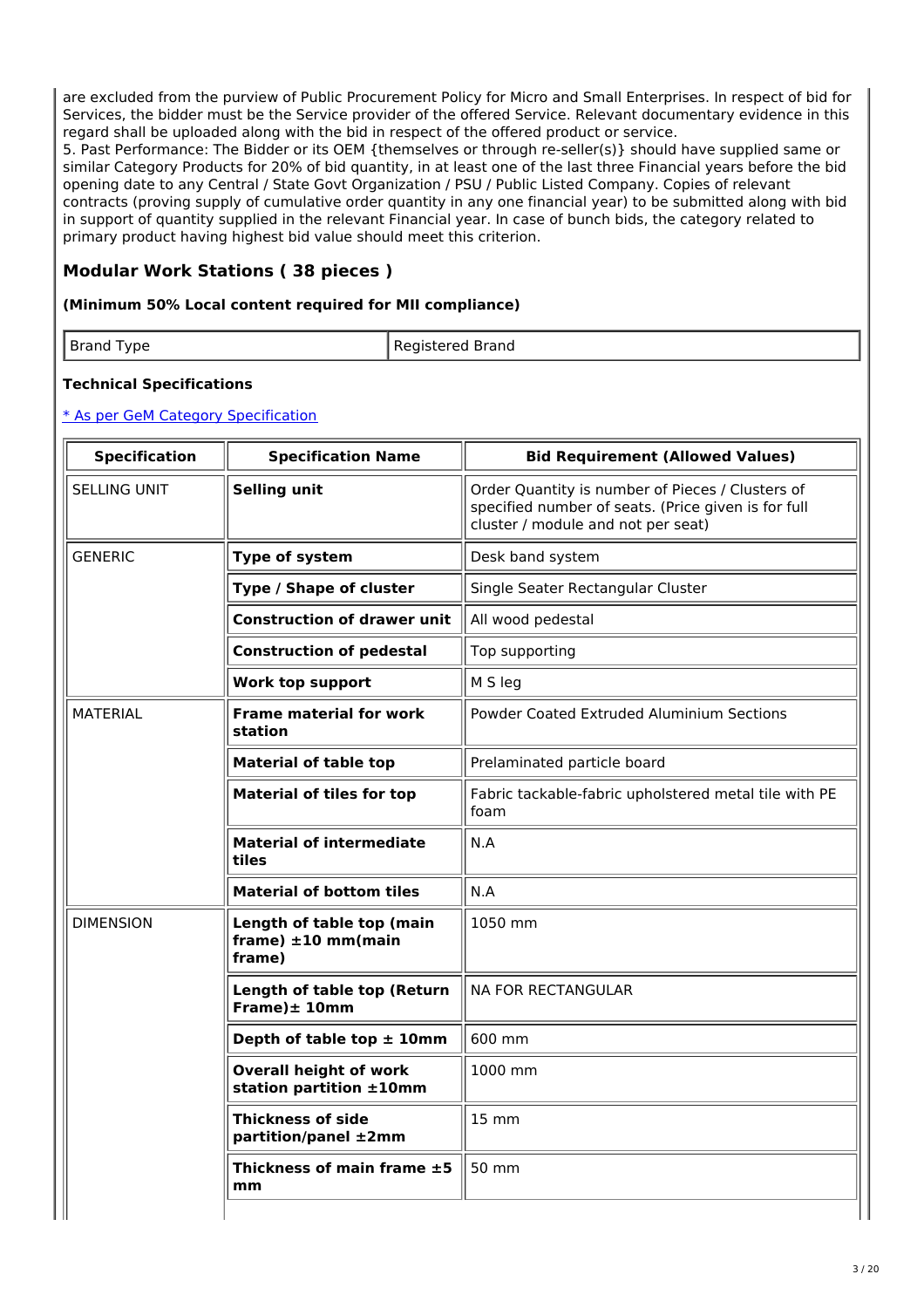are excluded from the purview of Public Procurement Policy for Micro and Small Enterprises. In respect of bid for Services, the bidder must be the Service provider of the offered Service. Relevant documentary evidence in this regard shall be uploaded along with the bid in respect of the offered product or service.

5. Past Performance: The Bidder or its OEM {themselves or through re-seller(s)} should have supplied same or similar Category Products for 20% of bid quantity, in at least one of the last three Financial years before the bid opening date to any Central / State Govt Organization / PSU / Public Listed Company. Copies of relevant contracts (proving supply of cumulative order quantity in any one financial year) to be submitted along with bid in support of quantity supplied in the relevant Financial year. In case of bunch bids, the category related to primary product having highest bid value should meet this criterion.

# **Modular Work Stations ( 38 pieces )**

#### **(Minimum 50% Local content required for MII compliance)**

| <b>Brand</b><br>' vne<br>$\sim$ . | Brand |
|-----------------------------------|-------|

#### **Technical Specifications**

| <b>Specification</b> | <b>Specification Name</b>                                      | <b>Bid Requirement (Allowed Values)</b>                                                                                                       |
|----------------------|----------------------------------------------------------------|-----------------------------------------------------------------------------------------------------------------------------------------------|
| <b>SELLING UNIT</b>  | <b>Selling unit</b>                                            | Order Quantity is number of Pieces / Clusters of<br>specified number of seats. (Price given is for full<br>cluster / module and not per seat) |
| <b>GENERIC</b>       | Type of system                                                 | Desk band system                                                                                                                              |
|                      | Type / Shape of cluster                                        | Single Seater Rectangular Cluster                                                                                                             |
|                      | <b>Construction of drawer unit</b>                             | All wood pedestal                                                                                                                             |
|                      | <b>Construction of pedestal</b>                                | Top supporting                                                                                                                                |
|                      | <b>Work top support</b>                                        | M S leg                                                                                                                                       |
| <b>MATERIAL</b>      | <b>Frame material for work</b><br>station                      | Powder Coated Extruded Aluminium Sections                                                                                                     |
|                      | <b>Material of table top</b>                                   | Prelaminated particle board                                                                                                                   |
|                      | <b>Material of tiles for top</b>                               | Fabric tackable-fabric upholstered metal tile with PE<br>foam                                                                                 |
|                      | <b>Material of intermediate</b><br>tiles                       | N.A                                                                                                                                           |
|                      | <b>Material of bottom tiles</b>                                | N.A                                                                                                                                           |
| <b>DIMENSION</b>     | Length of table top (main<br>frame) $\pm 10$ mm(main<br>frame) | 1050 mm                                                                                                                                       |
|                      | Length of table top (Return<br>Frame $)\pm 10$ mm              | <b>NA FOR RECTANGULAR</b>                                                                                                                     |
|                      | Depth of table top $\pm$ 10mm                                  | 600 mm                                                                                                                                        |
|                      | <b>Overall height of work</b><br>station partition ±10mm       | 1000 mm                                                                                                                                       |
|                      | <b>Thickness of side</b><br>partition/panel ±2mm               | <b>15 mm</b>                                                                                                                                  |
|                      | Thickness of main frame $\pm 5$<br>mm                          | 50 mm                                                                                                                                         |
|                      |                                                                |                                                                                                                                               |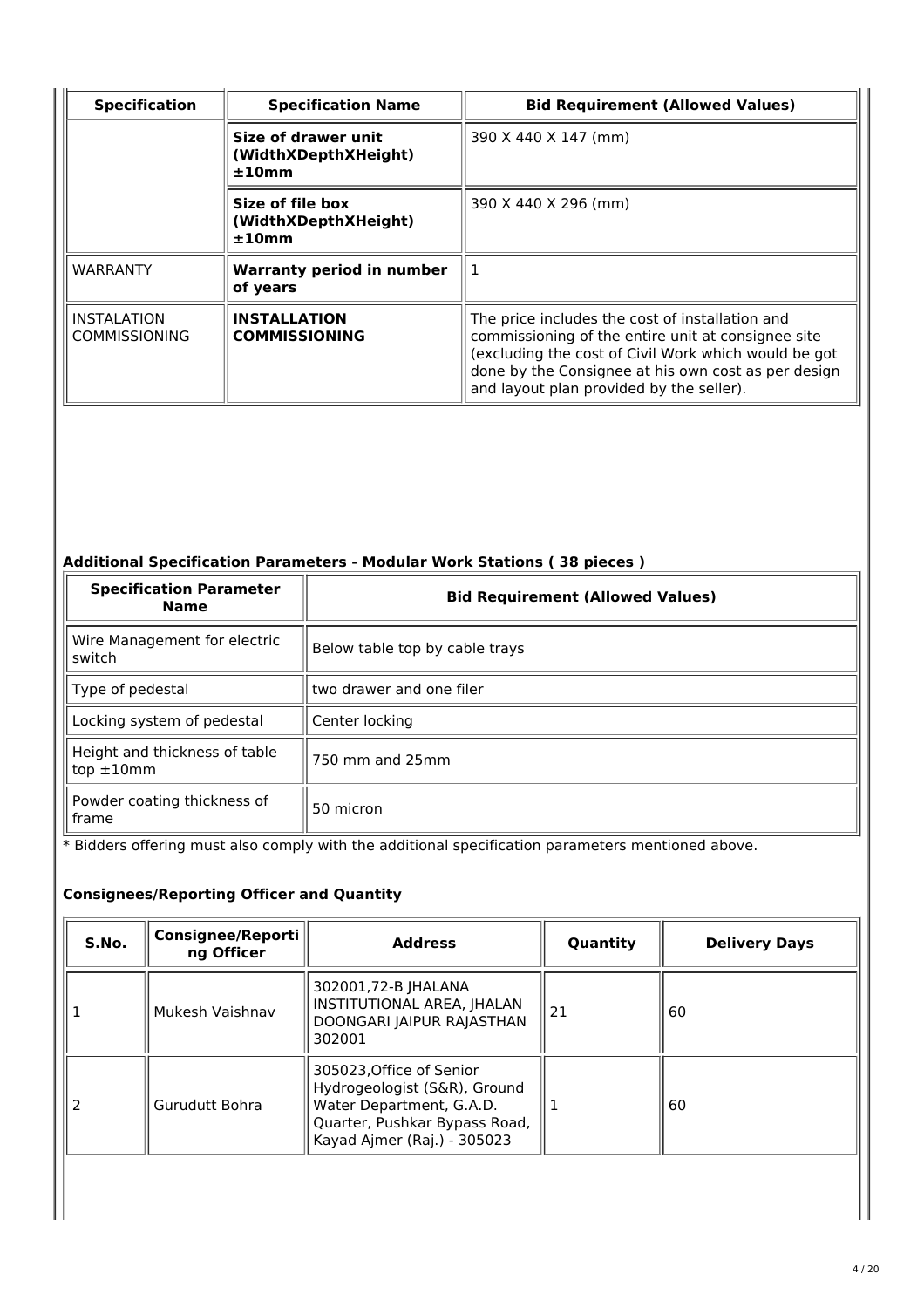| <b>Specification</b>                       | <b>Specification Name</b>                            | <b>Bid Requirement (Allowed Values)</b>                                                                                                                                                                                                                          |  |
|--------------------------------------------|------------------------------------------------------|------------------------------------------------------------------------------------------------------------------------------------------------------------------------------------------------------------------------------------------------------------------|--|
|                                            | Size of drawer unit<br>(WidthXDepthXHeight)<br>±10mm | 390 X 440 X 147 (mm)                                                                                                                                                                                                                                             |  |
|                                            | Size of file box<br>(WidthXDepthXHeight)<br>±10mm    | 390 X 440 X 296 (mm)                                                                                                                                                                                                                                             |  |
| WARRANTY                                   | <b>Warranty period in number</b><br>of years         |                                                                                                                                                                                                                                                                  |  |
| <b>INSTALATION</b><br><b>COMMISSIONING</b> | <b>INSTALLATION</b><br><b>COMMISSIONING</b>          | The price includes the cost of installation and<br>commissioning of the entire unit at consignee site<br>(excluding the cost of Civil Work which would be got<br>done by the Consignee at his own cost as per design<br>and layout plan provided by the seller). |  |

# **Additional Specification Parameters - Modular Work Stations ( 38 pieces )**

| <b>Specification Parameter</b><br><b>Name</b>    | <b>Bid Requirement (Allowed Values)</b> |  |
|--------------------------------------------------|-----------------------------------------|--|
| Wire Management for electric<br>switch           | Below table top by cable trays          |  |
| Type of pedestal                                 | two drawer and one filer                |  |
| Locking system of pedestal                       | Center locking                          |  |
| Height and thickness of table<br>$top \pm 10$ mm | 750 mm and 25mm                         |  |
| Powder coating thickness of<br>frame             | 50 micron                               |  |

\* Bidders offering must also comply with the additional specification parameters mentioned above.

| S.No. | <b>Consignee/Reporti</b><br>ng Officer | <b>Address</b>                                                                                                                                       | Quantity | <b>Delivery Days</b> |
|-------|----------------------------------------|------------------------------------------------------------------------------------------------------------------------------------------------------|----------|----------------------|
|       | Mukesh Vaishnav                        | 302001,72-B JHALANA<br>INSTITUTIONAL AREA, JHALAN<br>DOONGARI JAIPUR RAJASTHAN<br>302001                                                             | 21       | 60                   |
|       | Gurudutt Bohra                         | 305023, Office of Senior<br>Hydrogeologist (S&R), Ground<br>Water Department, G.A.D.<br>Quarter, Pushkar Bypass Road,<br>Kayad Ajmer (Raj.) - 305023 |          | 60                   |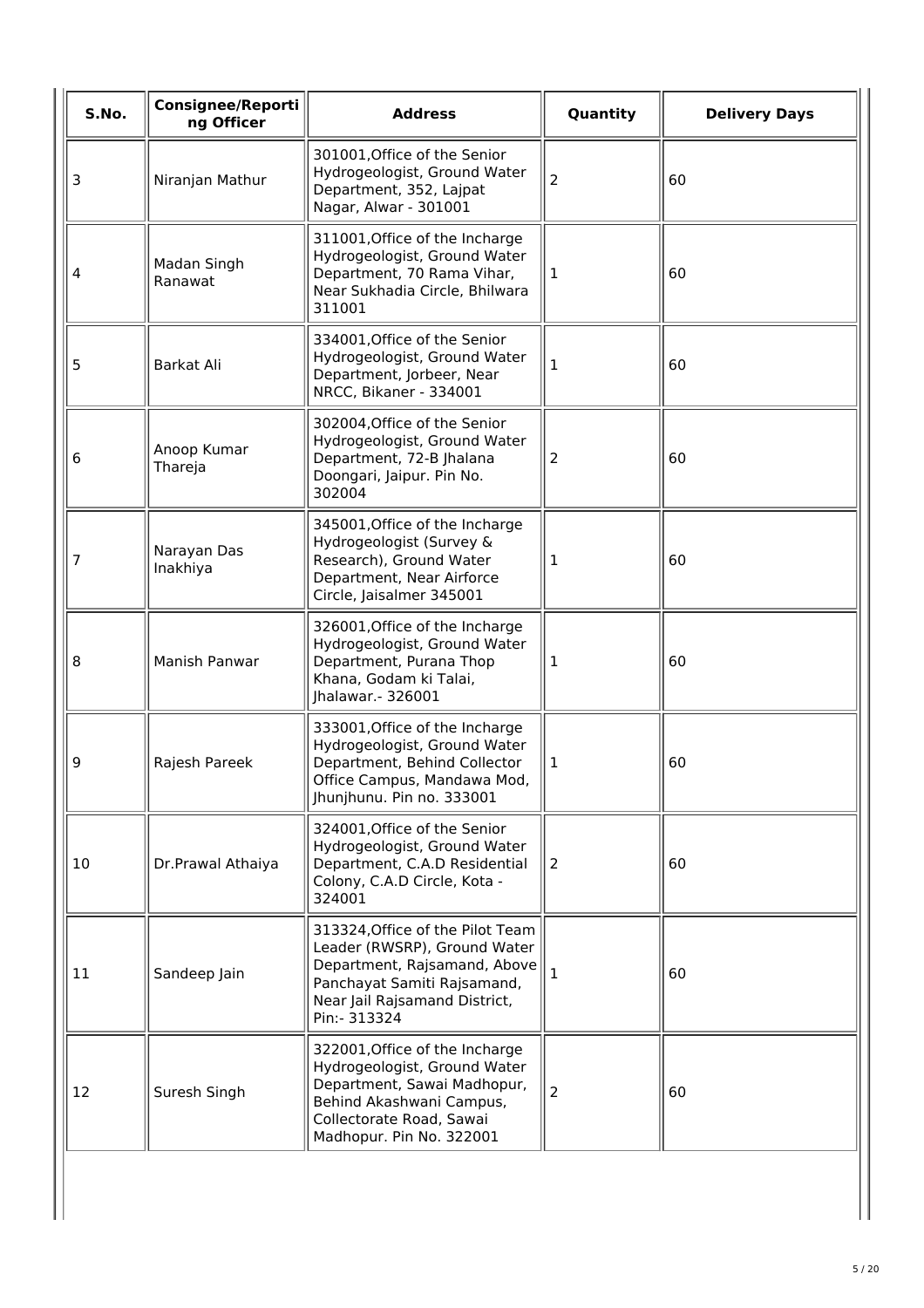| S.No. | <b>Consignee/Reporti</b><br>ng Officer | <b>Address</b>                                                                                                                                                                    | Quantity       | <b>Delivery Days</b> |
|-------|----------------------------------------|-----------------------------------------------------------------------------------------------------------------------------------------------------------------------------------|----------------|----------------------|
| 3     | Niranjan Mathur                        | 301001, Office of the Senior<br>Hydrogeologist, Ground Water<br>Department, 352, Lajpat<br>Nagar, Alwar - 301001                                                                  | $\overline{a}$ | 60                   |
| 4     | Madan Singh<br>Ranawat                 | 311001, Office of the Incharge<br>Hydrogeologist, Ground Water<br>Department, 70 Rama Vihar,<br>Near Sukhadia Circle, Bhilwara<br>311001                                          | $\mathbf{1}$   | 60                   |
| 5     | Barkat Ali                             | 334001, Office of the Senior<br>Hydrogeologist, Ground Water<br>Department, Jorbeer, Near<br>NRCC, Bikaner - 334001                                                               | 1              | 60                   |
| 6     | Anoop Kumar<br>Thareja                 | 302004, Office of the Senior<br>Hydrogeologist, Ground Water<br>Department, 72-B Jhalana<br>Doongari, Jaipur. Pin No.<br>302004                                                   | $\overline{2}$ | 60                   |
| 7     | Narayan Das<br>Inakhiya                | 345001, Office of the Incharge<br>Hydrogeologist (Survey &<br>Research), Ground Water<br>Department, Near Airforce<br>Circle, Jaisalmer 345001                                    | 1              | 60                   |
| 8     | Manish Panwar                          | 326001, Office of the Incharge<br>Hydrogeologist, Ground Water<br>Department, Purana Thop<br>Khana, Godam ki Talai,<br>Jhalawar. - 326001                                         | 1              | 60                   |
| 9     | Rajesh Pareek                          | 333001, Office of the Incharge<br>Hydrogeologist, Ground Water<br>Department, Behind Collector<br>Office Campus, Mandawa Mod,<br>Jhunjhunu. Pin no. 333001                        | $\mathbf{1}$   | 60                   |
| 10    | Dr.Prawal Athaiya                      | 324001, Office of the Senior<br>Hydrogeologist, Ground Water<br>Department, C.A.D Residential<br>Colony, C.A.D Circle, Kota -<br>324001                                           | 2              | 60                   |
| 11    | Sandeep Jain                           | 313324, Office of the Pilot Team<br>Leader (RWSRP), Ground Water<br>Department, Rajsamand, Above<br>Panchayat Samiti Rajsamand,<br>Near Jail Rajsamand District,<br>Pin:- 313324  | $\mathbf{1}$   | 60                   |
| 12    | Suresh Singh                           | 322001, Office of the Incharge<br>Hydrogeologist, Ground Water<br>Department, Sawai Madhopur,<br>Behind Akashwani Campus,<br>Collectorate Road, Sawai<br>Madhopur. Pin No. 322001 | $\overline{2}$ | 60                   |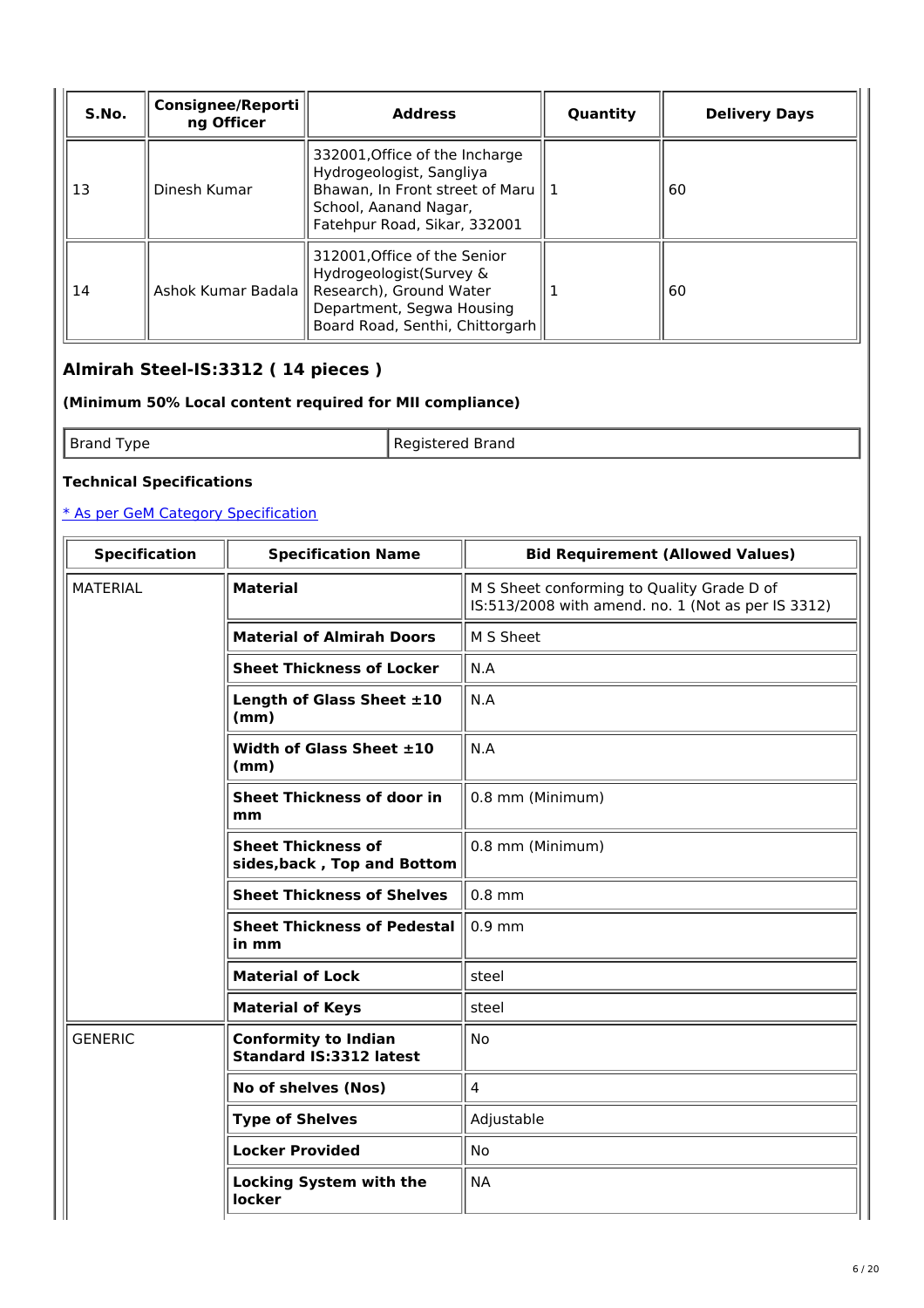| S.No. | Consignee/Reporti<br>ng Officer | <b>Address</b>                                                                                                                                                       | Quantity | <b>Delivery Days</b> |
|-------|---------------------------------|----------------------------------------------------------------------------------------------------------------------------------------------------------------------|----------|----------------------|
| 13    | Dinesh Kumar                    | 332001, Office of the Incharge<br>Hydrogeologist, Sangliya<br>Bhawan, In Front street of Maru $\parallel$ 1<br>School, Aanand Nagar,<br>Fatehpur Road, Sikar, 332001 |          | 60                   |
| 14    | Ashok Kumar Badala              | 312001, Office of the Senior<br>Hydrogeologist(Survey &<br>Research), Ground Water<br>Department, Segwa Housing<br>Board Road, Senthi, Chittorgarh                   |          | 60                   |

# **Almirah Steel-IS:3312 ( 14 pieces )**

### **(Minimum 50% Local content required for MII compliance)**

Brand Type **Registered Brand** 

# **Technical Specifications**

| <b>Specification</b> | <b>Specification Name</b>                                     | <b>Bid Requirement (Allowed Values)</b>                                                          |  |
|----------------------|---------------------------------------------------------------|--------------------------------------------------------------------------------------------------|--|
| <b>MATERIAL</b>      | <b>Material</b>                                               | M S Sheet conforming to Quality Grade D of<br>IS:513/2008 with amend. no. 1 (Not as per IS 3312) |  |
|                      | <b>Material of Almirah Doors</b>                              | M S Sheet                                                                                        |  |
|                      | <b>Sheet Thickness of Locker</b>                              | N.A                                                                                              |  |
|                      | Length of Glass Sheet ±10<br>(mm)                             | N.A                                                                                              |  |
|                      | Width of Glass Sheet $\pm 10$<br>(mm)                         | N.A                                                                                              |  |
|                      | <b>Sheet Thickness of door in</b><br>mm                       | 0.8 mm (Minimum)                                                                                 |  |
|                      | <b>Sheet Thickness of</b><br>sides, back, Top and Bottom      | 0.8 mm (Minimum)                                                                                 |  |
|                      | <b>Sheet Thickness of Shelves</b>                             | $0.8$ mm                                                                                         |  |
|                      | <b>Sheet Thickness of Pedestal</b><br>in mm                   | $0.9$ mm                                                                                         |  |
|                      | <b>Material of Lock</b>                                       | steel                                                                                            |  |
|                      | <b>Material of Keys</b>                                       | steel                                                                                            |  |
| <b>GENERIC</b>       | <b>Conformity to Indian</b><br><b>Standard IS:3312 latest</b> | <b>No</b>                                                                                        |  |
|                      | No of shelves (Nos)                                           | $\overline{4}$                                                                                   |  |
|                      | <b>Type of Shelves</b>                                        | Adjustable                                                                                       |  |
|                      | <b>Locker Provided</b>                                        | <b>No</b>                                                                                        |  |
|                      | <b>Locking System with the</b><br>locker                      | <b>NA</b>                                                                                        |  |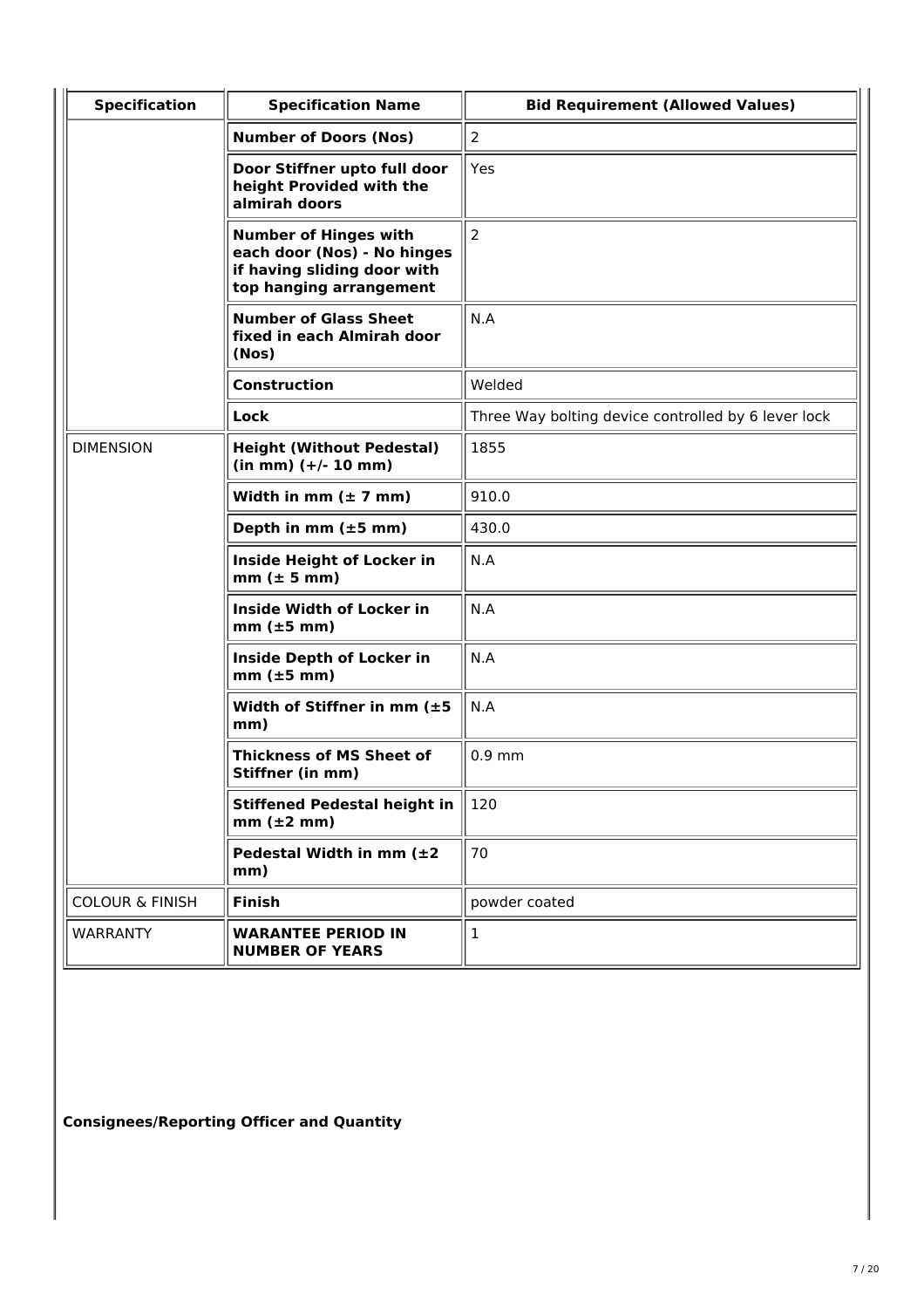| <b>Specification</b>       | <b>Specification Name</b>                                                                                             | <b>Bid Requirement (Allowed Values)</b>             |
|----------------------------|-----------------------------------------------------------------------------------------------------------------------|-----------------------------------------------------|
|                            | <b>Number of Doors (Nos)</b>                                                                                          | $\overline{2}$                                      |
|                            | Door Stiffner upto full door<br>height Provided with the<br>almirah doors                                             | Yes                                                 |
|                            | <b>Number of Hinges with</b><br>each door (Nos) - No hinges<br>if having sliding door with<br>top hanging arrangement | $\overline{2}$                                      |
|                            | <b>Number of Glass Sheet</b><br>fixed in each Almirah door<br>(Nos)                                                   | N.A                                                 |
|                            | <b>Construction</b>                                                                                                   | Welded                                              |
|                            | Lock                                                                                                                  | Three Way bolting device controlled by 6 lever lock |
| <b>DIMENSION</b>           | <b>Height (Without Pedestal)</b><br>$(in mm)$ $(+/- 10 mm)$                                                           | 1855                                                |
|                            | Width in mm $(\pm 7$ mm)                                                                                              | 910.0                                               |
|                            | Depth in mm $(\pm 5$ mm)                                                                                              | 430.0                                               |
|                            | Inside Height of Locker in<br>$mm (\pm 5 mm)$                                                                         | N.A                                                 |
|                            | <b>Inside Width of Locker in</b><br>$mm$ ( $\pm$ 5 mm)                                                                | N.A                                                 |
|                            | <b>Inside Depth of Locker in</b><br>$mm$ ( $\pm 5$ mm)                                                                | N.A                                                 |
|                            | Width of Stiffner in mm (±5<br>mm)                                                                                    | N.A                                                 |
|                            | <b>Thickness of MS Sheet of</b><br>Stiffner (in mm)                                                                   | $0.9$ mm                                            |
|                            | <b>Stiffened Pedestal height in</b><br>$mm (\pm 2 mm)$                                                                | 120                                                 |
|                            | Pedestal Width in mm $(\pm 2)$<br>mm)                                                                                 | 70                                                  |
| <b>COLOUR &amp; FINISH</b> | <b>Finish</b>                                                                                                         | powder coated                                       |
| <b>WARRANTY</b>            | <b>WARANTEE PERIOD IN</b><br><b>NUMBER OF YEARS</b>                                                                   | 1                                                   |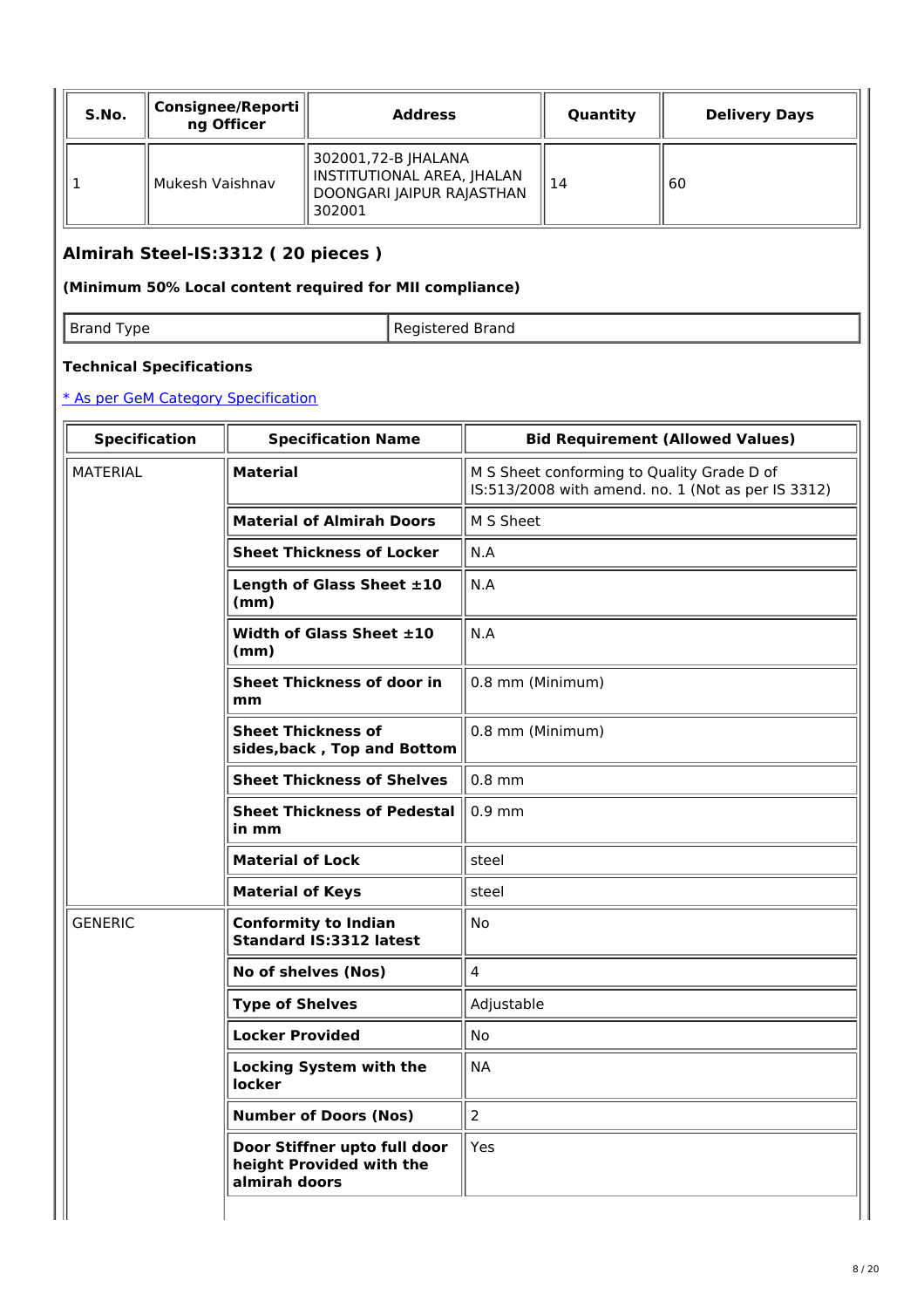| S.No. | Consignee/Reporti   <br>ng Officer | <b>Address</b>                                                                           | Quantity | <b>Delivery Days</b> |
|-------|------------------------------------|------------------------------------------------------------------------------------------|----------|----------------------|
|       | Mukesh Vaishnav                    | 302001,72-B JHALANA<br>INSTITUTIONAL AREA, JHALAN<br>DOONGARI JAIPUR RAJASTHAN<br>302001 | l 14     | 60                   |

# **Almirah Steel-IS:3312 ( 20 pieces )**

### **(Minimum 50% Local content required for MII compliance)**

Brand Type **Registered Brand** 

### **Technical Specifications**

| <b>Specification</b> | <b>Specification Name</b>                                                 | <b>Bid Requirement (Allowed Values)</b>                                                          |  |
|----------------------|---------------------------------------------------------------------------|--------------------------------------------------------------------------------------------------|--|
| <b>MATERIAL</b>      | <b>Material</b>                                                           | M S Sheet conforming to Quality Grade D of<br>IS:513/2008 with amend. no. 1 (Not as per IS 3312) |  |
|                      | <b>Material of Almirah Doors</b>                                          | M S Sheet                                                                                        |  |
|                      | <b>Sheet Thickness of Locker</b>                                          | N.A                                                                                              |  |
|                      | Length of Glass Sheet ±10<br>(mm)                                         | N.A                                                                                              |  |
|                      | Width of Glass Sheet $\pm 10$<br>(mm)                                     | N.A                                                                                              |  |
|                      | <b>Sheet Thickness of door in</b><br>mm                                   | 0.8 mm (Minimum)                                                                                 |  |
|                      | <b>Sheet Thickness of</b><br>sides, back, Top and Bottom                  | 0.8 mm (Minimum)                                                                                 |  |
|                      | <b>Sheet Thickness of Shelves</b>                                         | $0.8$ mm                                                                                         |  |
|                      | <b>Sheet Thickness of Pedestal</b><br>in mm                               | $0.9$ mm                                                                                         |  |
|                      | <b>Material of Lock</b>                                                   | steel                                                                                            |  |
|                      | <b>Material of Keys</b>                                                   | steel                                                                                            |  |
| <b>GENERIC</b>       | <b>Conformity to Indian</b><br><b>Standard IS:3312 latest</b>             | <b>No</b>                                                                                        |  |
|                      | No of shelves (Nos)                                                       | $\overline{4}$                                                                                   |  |
|                      | <b>Type of Shelves</b>                                                    | Adjustable                                                                                       |  |
|                      | <b>Locker Provided</b>                                                    | No                                                                                               |  |
|                      | <b>Locking System with the</b><br>locker                                  | <b>NA</b>                                                                                        |  |
|                      | <b>Number of Doors (Nos)</b>                                              | $\overline{2}$                                                                                   |  |
|                      | Door Stiffner upto full door<br>height Provided with the<br>almirah doors | Yes                                                                                              |  |
|                      |                                                                           |                                                                                                  |  |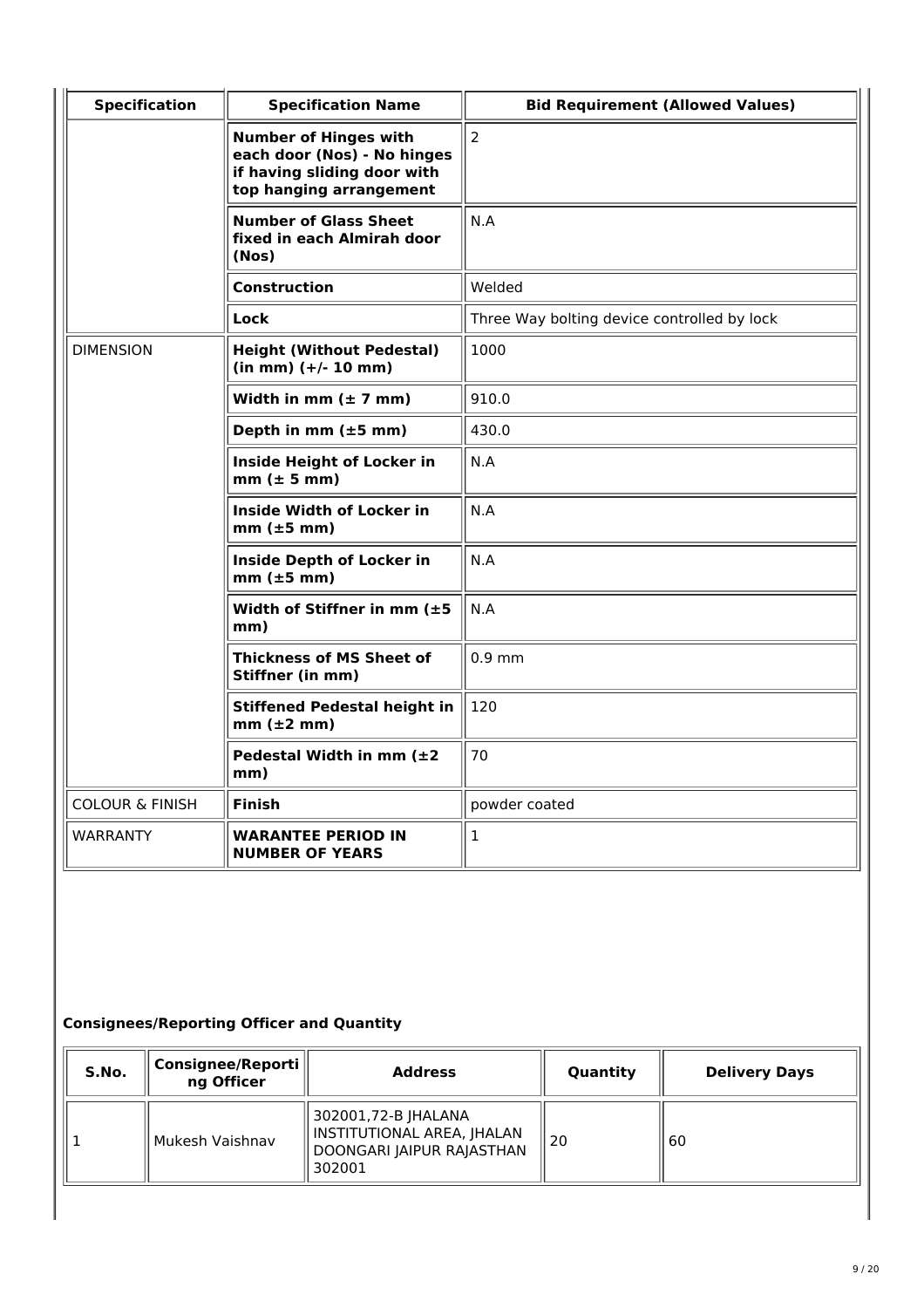| <b>Specification</b>       | <b>Specification Name</b>                                                                                             | <b>Bid Requirement (Allowed Values)</b>     |  |
|----------------------------|-----------------------------------------------------------------------------------------------------------------------|---------------------------------------------|--|
|                            | <b>Number of Hinges with</b><br>each door (Nos) - No hinges<br>if having sliding door with<br>top hanging arrangement | $\overline{2}$                              |  |
|                            | <b>Number of Glass Sheet</b><br>fixed in each Almirah door<br>(Nos)                                                   | N.A                                         |  |
|                            | Construction                                                                                                          | Welded                                      |  |
|                            | Lock                                                                                                                  | Three Way bolting device controlled by lock |  |
| <b>DIMENSION</b>           | <b>Height (Without Pedestal)</b><br>$(in mm)$ $(+/- 10 mm)$                                                           | 1000                                        |  |
|                            | Width in mm $(\pm 7$ mm)                                                                                              | 910.0                                       |  |
|                            | Depth in mm $(\pm 5$ mm)                                                                                              | 430.0                                       |  |
|                            | Inside Height of Locker in<br>$mm (\pm 5 mm)$                                                                         | N.A                                         |  |
|                            | <b>Inside Width of Locker in</b><br>$mm$ ( $\pm 5$ mm)                                                                | N.A                                         |  |
|                            | <b>Inside Depth of Locker in</b><br>$mm$ ( $\pm$ 5 mm)                                                                | N.A                                         |  |
|                            | Width of Stiffner in mm $(\pm 5)$<br>mm)                                                                              | N.A                                         |  |
|                            | <b>Thickness of MS Sheet of</b><br>Stiffner (in mm)                                                                   | $0.9$ mm                                    |  |
|                            | <b>Stiffened Pedestal height in</b><br>$mm (\pm 2 mm)$                                                                | 120                                         |  |
|                            | Pedestal Width in mm $(\pm 2)$<br>mm)                                                                                 | 70                                          |  |
| <b>COLOUR &amp; FINISH</b> | <b>Finish</b>                                                                                                         | powder coated                               |  |
| <b>WARRANTY</b>            | <b>WARANTEE PERIOD IN</b><br><b>NUMBER OF YEARS</b>                                                                   | $\mathbf{1}$                                |  |

| S.No. | Consignee/Reporti<br>ng Officer | <b>Address</b>                                                                             | Quantity | <b>Delivery Days</b> |
|-------|---------------------------------|--------------------------------------------------------------------------------------------|----------|----------------------|
|       | Mukesh Vaishnav                 | 302001,72-B JHALANA<br>  INSTITUTIONAL AREA, JHALAN<br>DOONGARI JAIPUR RAJASTHAN<br>302001 | 20       | 60                   |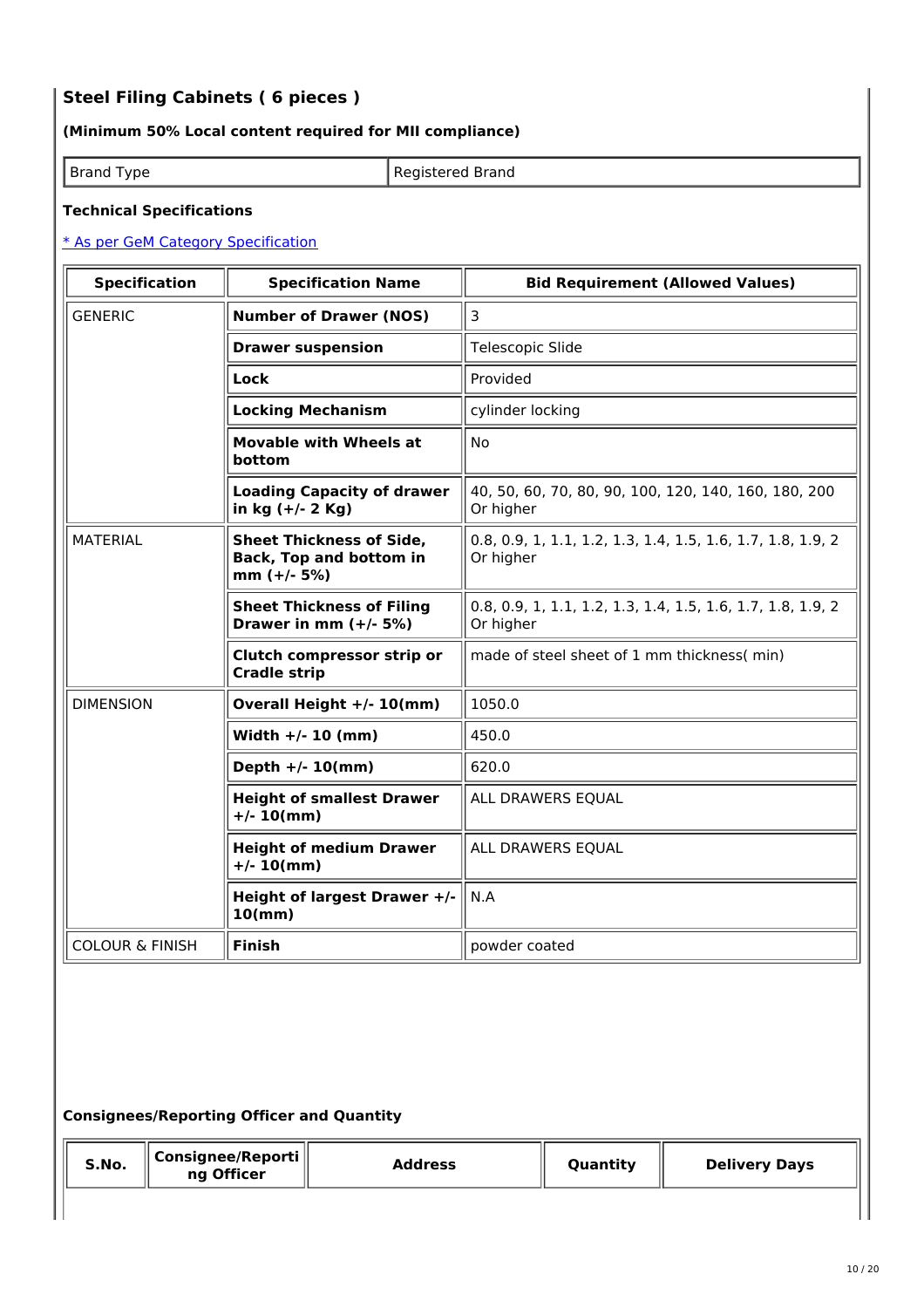# **Steel Filing Cabinets ( 6 pieces )**

### **(Minimum 50% Local content required for MII compliance)**

| <b>Brand Type</b> |  |
|-------------------|--|
|-------------------|--|

Registered Brand

#### **Technical Specifications**

#### \* As per GeM Category [Specification](https://bidplus.gem.gov.in/bidding/bid/showCatalogue/G8RfbYLN_jU5O_o7JvQBIEAq-8gi5JrSVxC9CtKzdzo)

| <b>Specification</b>       | <b>Specification Name</b>                                                          | <b>Bid Requirement (Allowed Values)</b>                                  |
|----------------------------|------------------------------------------------------------------------------------|--------------------------------------------------------------------------|
| <b>GENERIC</b>             | <b>Number of Drawer (NOS)</b>                                                      | 3                                                                        |
|                            | <b>Drawer suspension</b>                                                           | Telescopic Slide                                                         |
|                            | Lock                                                                               | Provided                                                                 |
|                            | <b>Locking Mechanism</b>                                                           | cylinder locking                                                         |
|                            | <b>Movable with Wheels at</b><br>bottom                                            | <b>No</b>                                                                |
|                            | <b>Loading Capacity of drawer</b><br>in kg $(+/- 2$ Kg)                            | 40, 50, 60, 70, 80, 90, 100, 120, 140, 160, 180, 200<br>Or higher        |
| <b>MATERIAL</b>            | <b>Sheet Thickness of Side,</b><br><b>Back, Top and bottom in</b><br>$mm (+/- 5%)$ | 0.8, 0.9, 1, 1.1, 1.2, 1.3, 1.4, 1.5, 1.6, 1.7, 1.8, 1.9, 2<br>Or higher |
|                            | <b>Sheet Thickness of Filing</b><br>Drawer in mm $(+/- 5%)$                        | 0.8, 0.9, 1, 1.1, 1.2, 1.3, 1.4, 1.5, 1.6, 1.7, 1.8, 1.9, 2<br>Or higher |
|                            | Clutch compressor strip or<br><b>Cradle strip</b>                                  | made of steel sheet of 1 mm thickness(min)                               |
| <b>DIMENSION</b>           | Overall Height +/- 10(mm)                                                          | 1050.0                                                                   |
|                            | Width $+/- 10$ (mm)                                                                | 450.0                                                                    |
|                            | Depth $+/- 10$ (mm)                                                                | 620.0                                                                    |
|                            | <b>Height of smallest Drawer</b><br>$+/- 10$ (mm)                                  | ALL DRAWERS EQUAL                                                        |
|                            | <b>Height of medium Drawer</b><br>$+/- 10$ (mm)                                    | ALL DRAWERS EQUAL                                                        |
|                            | Height of largest Drawer +/-<br>10(mm)                                             | N.A                                                                      |
| <b>COLOUR &amp; FINISH</b> | <b>Finish</b>                                                                      | powder coated                                                            |

| S.No. | $\mid$ Consignee/Reporti $\mid$<br>ng Officer | <b>Address</b> | Quantity | <b>Delivery Days</b> |
|-------|-----------------------------------------------|----------------|----------|----------------------|
|       |                                               |                |          |                      |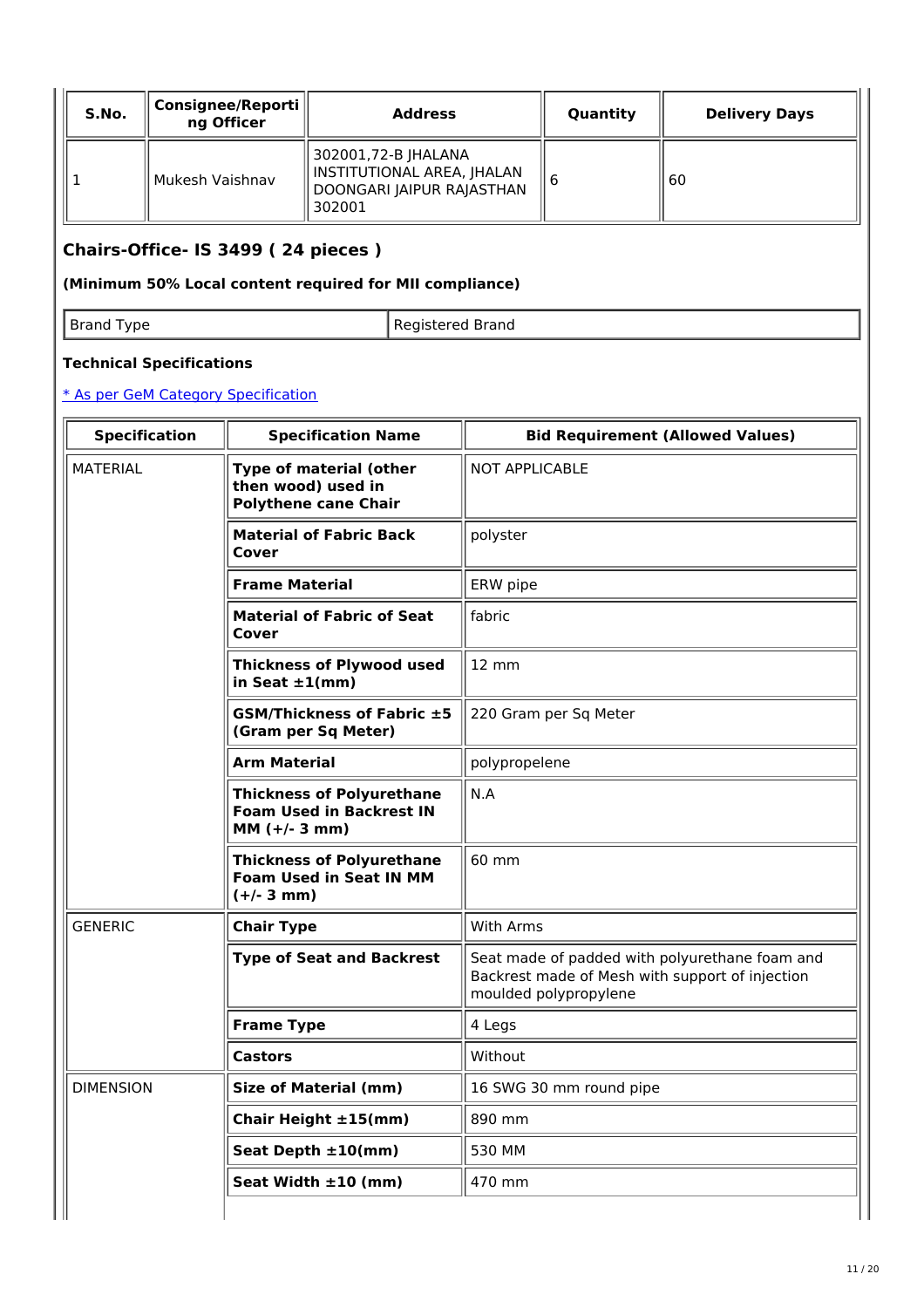| S.No. | Consignee/Reporti   <br>ng Officer | <b>Address</b>                                                                             | Quantity | <b>Delivery Days</b> |
|-------|------------------------------------|--------------------------------------------------------------------------------------------|----------|----------------------|
|       | Mukesh Vaishnav                    | 302001,72-B JHALANA<br>  INSTITUTIONAL AREA, JHALAN<br>DOONGARI JAIPUR RAJASTHAN<br>302001 | l b      | 60                   |

# **Chairs-Office- IS 3499 ( 24 pieces )**

### **(Minimum 50% Local content required for MII compliance)**

| <b>Brand Type</b> | Registered Brand |
|-------------------|------------------|

### **Technical Specifications**

|  | <b>Specification</b>                                                                                                                              | <b>Specification Name</b>                                                              | <b>Bid Requirement (Allowed Values)</b>                                                                                    |
|--|---------------------------------------------------------------------------------------------------------------------------------------------------|----------------------------------------------------------------------------------------|----------------------------------------------------------------------------------------------------------------------------|
|  | <b>MATERIAL</b><br><b>Type of material (other</b><br>then wood) used in<br><b>Polythene cane Chair</b><br><b>Material of Fabric Back</b><br>Cover |                                                                                        | <b>NOT APPLICABLE</b>                                                                                                      |
|  |                                                                                                                                                   |                                                                                        | polyster                                                                                                                   |
|  |                                                                                                                                                   | <b>Frame Material</b>                                                                  | ERW pipe                                                                                                                   |
|  | <b>Material of Fabric of Seat</b><br>Cover                                                                                                        |                                                                                        | fabric                                                                                                                     |
|  |                                                                                                                                                   | <b>Thickness of Plywood used</b><br>in Seat $\pm 1$ (mm)                               | $12 \, \text{mm}$                                                                                                          |
|  |                                                                                                                                                   | <b>GSM/Thickness of Fabric ±5</b><br>(Gram per Sq Meter)                               | 220 Gram per Sq Meter                                                                                                      |
|  |                                                                                                                                                   | <b>Arm Material</b>                                                                    | polypropelene                                                                                                              |
|  |                                                                                                                                                   | <b>Thickness of Polyurethane</b><br><b>Foam Used in Backrest IN</b><br>$MM (+/- 3 mm)$ | N.A                                                                                                                        |
|  |                                                                                                                                                   | <b>Thickness of Polyurethane</b><br><b>Foam Used in Seat IN MM</b><br>$(+/- 3 mm)$     | 60 mm                                                                                                                      |
|  | <b>GENERIC</b>                                                                                                                                    | <b>Chair Type</b>                                                                      | <b>With Arms</b>                                                                                                           |
|  |                                                                                                                                                   | <b>Type of Seat and Backrest</b>                                                       | Seat made of padded with polyurethane foam and<br>Backrest made of Mesh with support of injection<br>moulded polypropylene |
|  |                                                                                                                                                   | <b>Frame Type</b>                                                                      | 4 Legs                                                                                                                     |
|  |                                                                                                                                                   | <b>Castors</b>                                                                         | Without                                                                                                                    |
|  | <b>DIMENSION</b>                                                                                                                                  | <b>Size of Material (mm)</b>                                                           | 16 SWG 30 mm round pipe                                                                                                    |
|  |                                                                                                                                                   | Chair Height ±15(mm)                                                                   | 890 mm                                                                                                                     |
|  |                                                                                                                                                   | Seat Depth ±10(mm)                                                                     | 530 MM                                                                                                                     |
|  |                                                                                                                                                   | Seat Width $\pm 10$ (mm)                                                               | 470 mm                                                                                                                     |
|  |                                                                                                                                                   |                                                                                        |                                                                                                                            |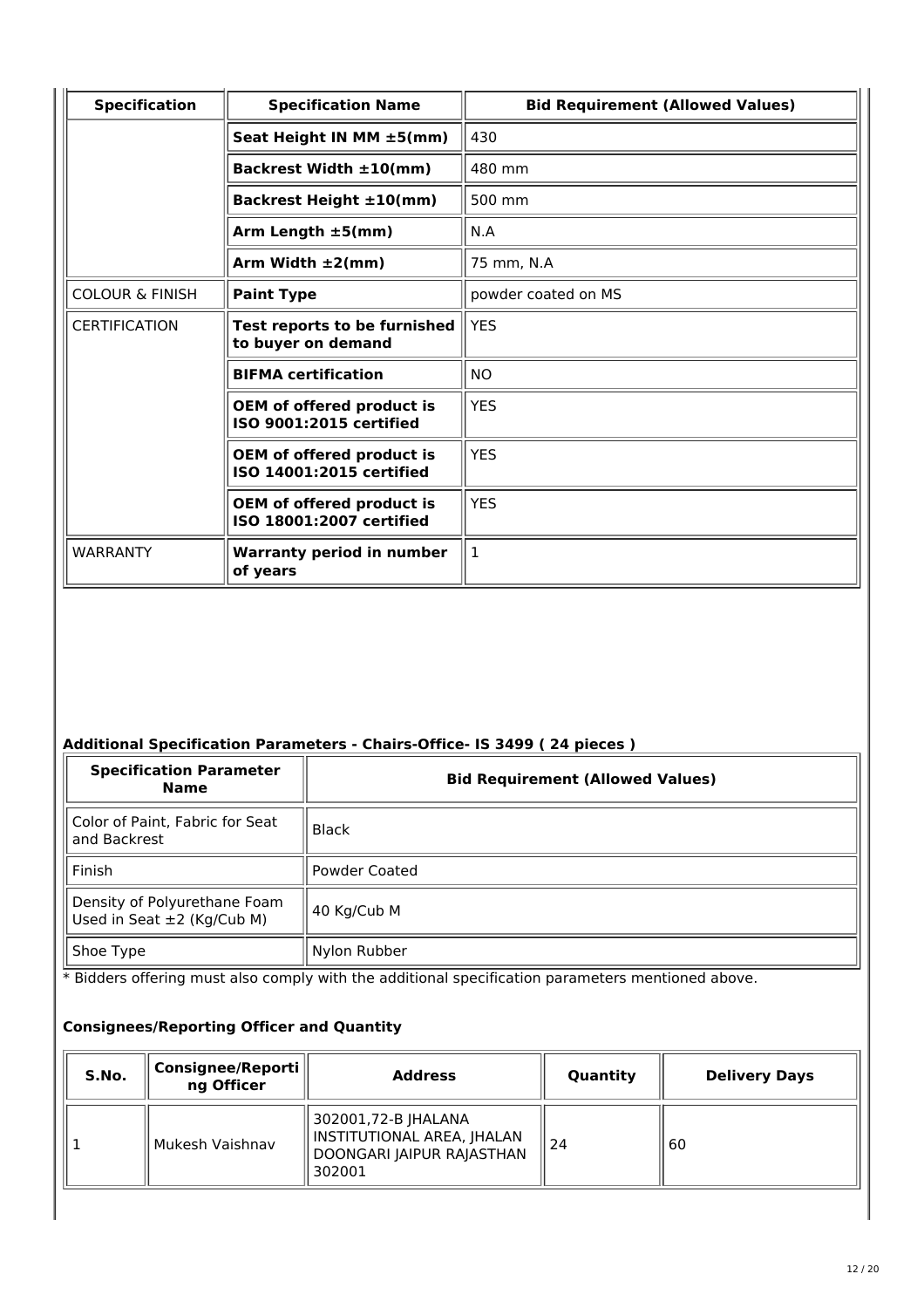| <b>Specification</b>       | <b>Specification Name</b>                                    | <b>Bid Requirement (Allowed Values)</b> |
|----------------------------|--------------------------------------------------------------|-----------------------------------------|
|                            | Seat Height IN MM ±5(mm)                                     | 430                                     |
|                            | Backrest Width $\pm 10$ (mm)                                 | 480 mm                                  |
|                            | Backrest Height ±10(mm)                                      | 500 mm                                  |
|                            | Arm Length $\pm 5$ (mm)                                      | N.A                                     |
|                            | Arm Width $\pm 2$ (mm)                                       | 75 mm, N.A                              |
| <b>COLOUR &amp; FINISH</b> | <b>Paint Type</b>                                            | powder coated on MS                     |
| <b>CERTIFICATION</b>       | Test reports to be furnished<br>to buyer on demand           | <b>YES</b>                              |
|                            | <b>BIFMA</b> certification                                   | NO.                                     |
|                            | OEM of offered product is<br>ISO 9001:2015 certified         | <b>YES</b>                              |
|                            | <b>OEM of offered product is</b><br>ISO 14001:2015 certified | <b>YES</b>                              |
|                            | <b>OEM of offered product is</b><br>ISO 18001:2007 certified | <b>YES</b>                              |
| WARRANTY                   | <b>Warranty period in number</b><br>of years                 | 1                                       |

### **Additional Specification Parameters - Chairs-Office- IS 3499 ( 24 pieces )**

| <b>Specification Parameter</b><br><b>Name</b>                   | <b>Bid Requirement (Allowed Values)</b> |
|-----------------------------------------------------------------|-----------------------------------------|
| Color of Paint, Fabric for Seat<br>and Backrest                 | Black                                   |
| Finish                                                          | <b>Powder Coated</b>                    |
| Density of Polyurethane Foam<br>Used in Seat $\pm 2$ (Kg/Cub M) | 40 Kg/Cub M                             |
| Shoe Type                                                       | Nylon Rubber                            |

\* Bidders offering must also comply with the additional specification parameters mentioned above.

| S.No. | Consignee/Reporti<br>ng Officer | <b>Address</b>                                                                              | Quantity | <b>Delivery Days</b> |
|-------|---------------------------------|---------------------------------------------------------------------------------------------|----------|----------------------|
|       | Mukesh Vaishnav                 | 302001,72-B JHALANA<br>   INSTITUTIONAL AREA, JHALAN<br>DOONGARI JAIPUR RAJASTHAN<br>302001 | 24       | 60                   |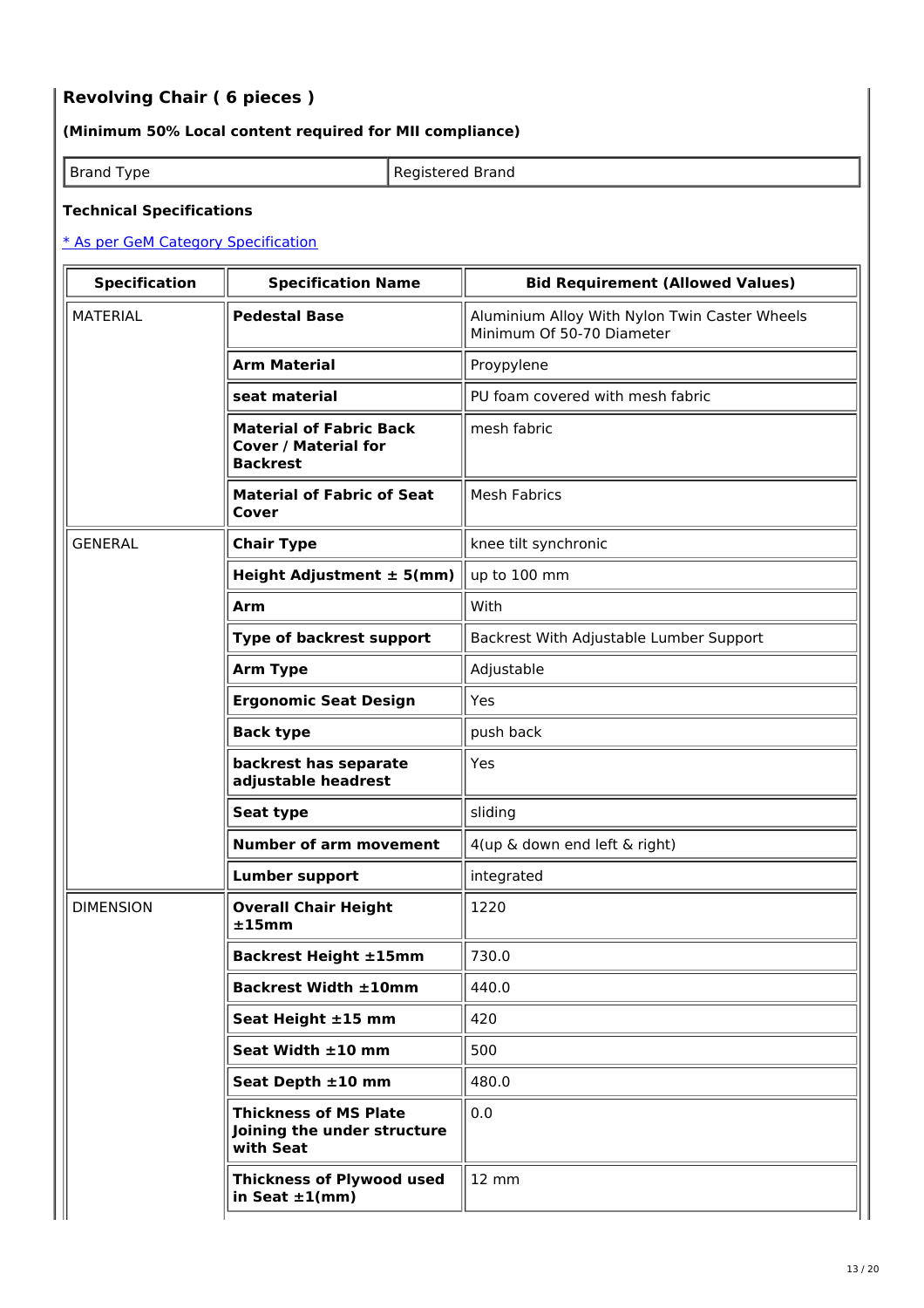# **Revolving Chair ( 6 pieces )**

### **(Minimum 50% Local content required for MII compliance)**

Brand Type **Registered Brand** 

#### **Technical Specifications**

| <b>Specification</b> | <b>Specification Name</b>                                                        | <b>Bid Requirement (Allowed Values)</b>                                    |  |
|----------------------|----------------------------------------------------------------------------------|----------------------------------------------------------------------------|--|
| <b>MATERIAL</b>      | <b>Pedestal Base</b>                                                             | Aluminium Alloy With Nylon Twin Caster Wheels<br>Minimum Of 50-70 Diameter |  |
|                      | <b>Arm Material</b>                                                              | Proypylene                                                                 |  |
|                      | seat material                                                                    | PU foam covered with mesh fabric                                           |  |
|                      | <b>Material of Fabric Back</b><br><b>Cover / Material for</b><br><b>Backrest</b> | mesh fabric                                                                |  |
|                      | <b>Material of Fabric of Seat</b><br>Cover                                       | <b>Mesh Fabrics</b>                                                        |  |
| <b>GENERAL</b>       | <b>Chair Type</b>                                                                | knee tilt synchronic                                                       |  |
|                      | Height Adjustment $\pm$ 5(mm)                                                    | up to 100 mm                                                               |  |
|                      | Arm                                                                              | With                                                                       |  |
|                      | Type of backrest support                                                         | Backrest With Adjustable Lumber Support                                    |  |
|                      | <b>Arm Type</b>                                                                  | Adjustable                                                                 |  |
|                      | <b>Ergonomic Seat Design</b>                                                     | Yes                                                                        |  |
|                      | <b>Back type</b>                                                                 | push back                                                                  |  |
|                      | backrest has separate<br>adjustable headrest                                     | Yes                                                                        |  |
|                      | Seat type                                                                        | sliding                                                                    |  |
|                      | <b>Number of arm movement</b>                                                    | 4(up & down end left & right)                                              |  |
|                      | <b>Lumber support</b>                                                            | integrated                                                                 |  |
| <b>DIMENSION</b>     | <b>Overall Chair Height</b><br>±15mm                                             | 1220                                                                       |  |
|                      | <b>Backrest Height ±15mm</b>                                                     | 730.0                                                                      |  |
|                      | <b>Backrest Width ±10mm</b>                                                      | 440.0                                                                      |  |
|                      | Seat Height ±15 mm                                                               | 420                                                                        |  |
|                      | Seat Width ±10 mm                                                                | 500                                                                        |  |
|                      | Seat Depth ±10 mm                                                                | 480.0                                                                      |  |
|                      | <b>Thickness of MS Plate</b><br>Joining the under structure<br>with Seat         | 0.0                                                                        |  |
|                      | <b>Thickness of Plywood used</b><br>in Seat $\pm 1$ (mm)                         | 12 mm                                                                      |  |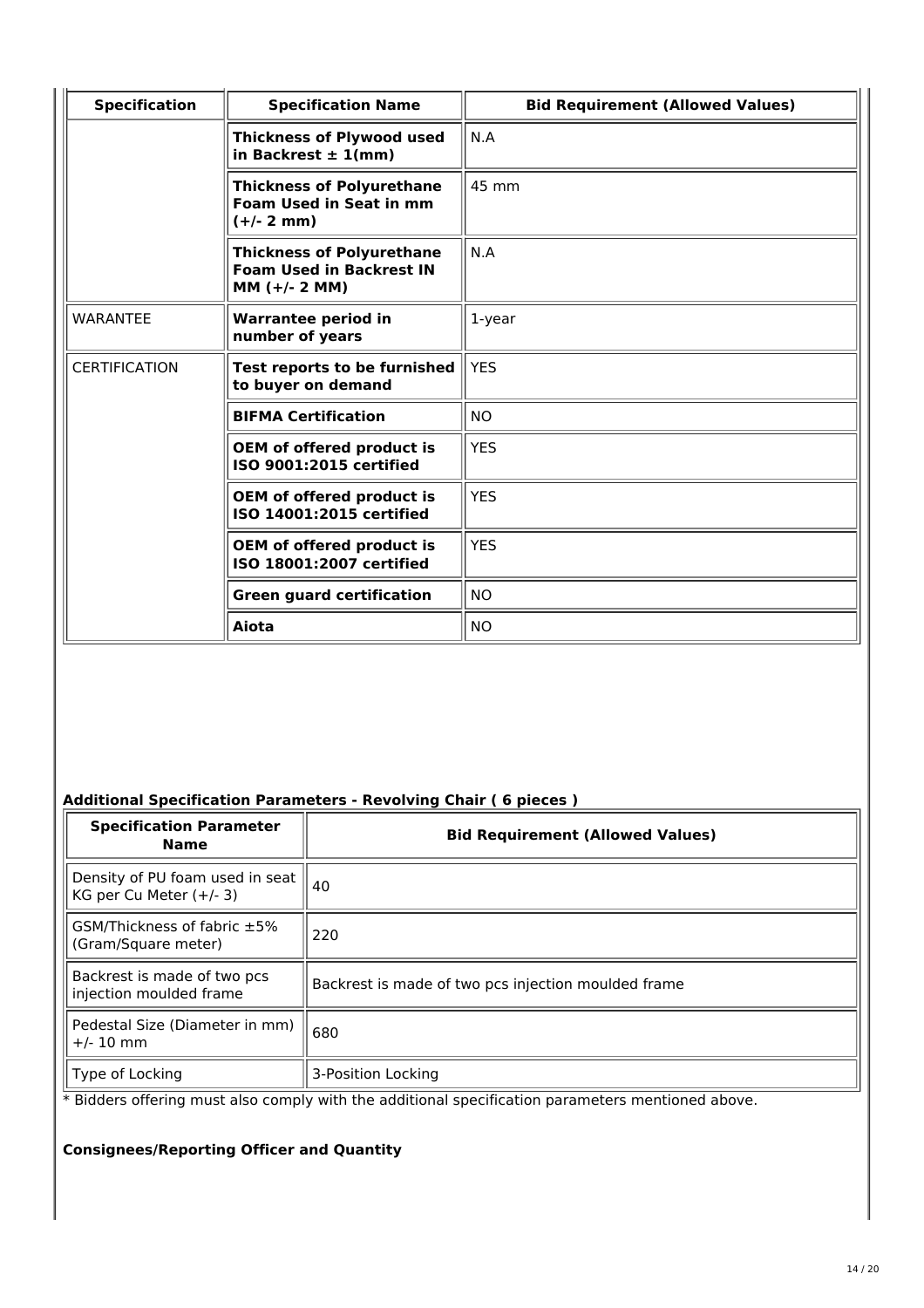| <b>Specification</b> | <b>Specification Name</b>                                                              | <b>Bid Requirement (Allowed Values)</b> |
|----------------------|----------------------------------------------------------------------------------------|-----------------------------------------|
|                      | <b>Thickness of Plywood used</b><br>in Backrest $\pm$ 1(mm)                            | N.A                                     |
|                      | <b>Thickness of Polyurethane</b><br><b>Foam Used in Seat in mm</b><br>$(+/- 2 mm)$     | 45 mm                                   |
|                      | <b>Thickness of Polyurethane</b><br><b>Foam Used in Backrest IN</b><br>$MM (+/- 2 MM)$ | N.A                                     |
| <b>WARANTEE</b>      | <b>Warrantee period in</b><br>number of years                                          | 1-year                                  |
| <b>CERTIFICATION</b> | Test reports to be furnished<br>to buyer on demand                                     | <b>YES</b>                              |
|                      | <b>BIFMA Certification</b>                                                             | NO.                                     |
|                      | <b>OEM of offered product is</b><br>ISO 9001:2015 certified                            | <b>YES</b>                              |
|                      | <b>OEM of offered product is</b><br>ISO 14001:2015 certified                           | <b>YES</b>                              |
|                      | <b>OEM of offered product is</b><br>ISO 18001:2007 certified                           | <b>YES</b>                              |
|                      | <b>Green guard certification</b>                                                       | <b>NO</b>                               |
|                      | Aiota                                                                                  | <b>NO</b>                               |

# **Additional Specification Parameters - Revolving Chair ( 6 pieces )**

| <b>Specification Parameter</b><br><b>Name</b>                | <b>Bid Requirement (Allowed Values)</b>             |  |
|--------------------------------------------------------------|-----------------------------------------------------|--|
| Density of PU foam used in seat<br>KG per Cu Meter $(+/- 3)$ | 40                                                  |  |
| GSM/Thickness of fabric ±5%<br>(Gram/Square meter)           | 220                                                 |  |
| Backrest is made of two pcs<br>injection moulded frame       | Backrest is made of two pcs injection moulded frame |  |
| Pedestal Size (Diameter in mm)<br>$+/- 10$ mm                | 680                                                 |  |
| Type of Locking                                              | 3-Position Locking                                  |  |

\* Bidders offering must also comply with the additional specification parameters mentioned above.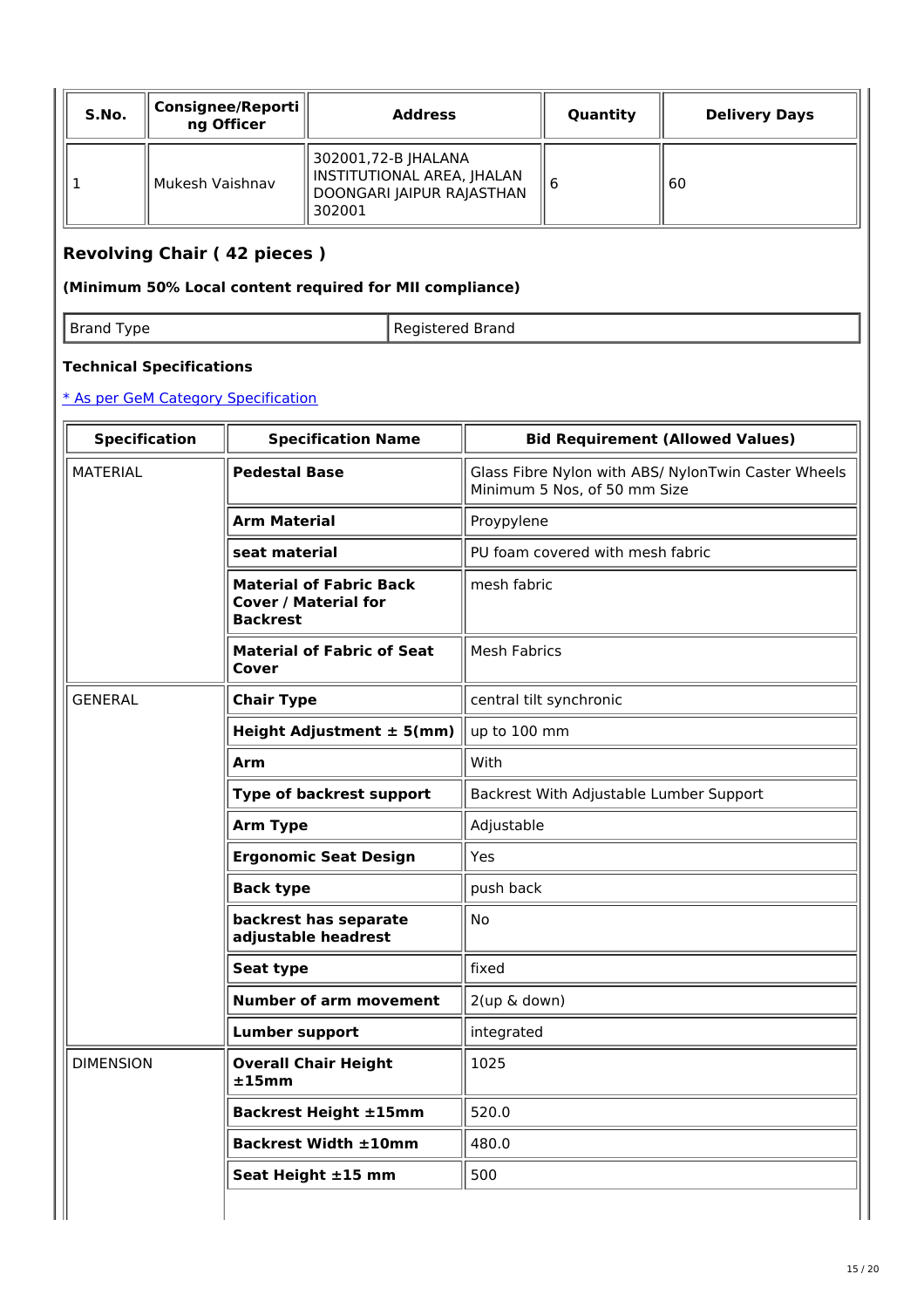| S.No. | Consignee/Reporti   <br>ng Officer | <b>Address</b>                                                                           | Quantity | <b>Delivery Days</b> |
|-------|------------------------------------|------------------------------------------------------------------------------------------|----------|----------------------|
|       | Mukesh Vaishnav                    | 302001,72-B JHALANA<br>INSTITUTIONAL AREA, JHALAN<br>DOONGARI JAIPUR RAJASTHAN<br>302001 | b        | 60                   |

# **Revolving Chair ( 42 pieces )**

### **(Minimum 50% Local content required for MII compliance)**

Brand Type **Registered Brand** 

### **Technical Specifications**

| <b>Specification</b> | <b>Specification Name</b>                                                        | <b>Bid Requirement (Allowed Values)</b>                                             |  |  |
|----------------------|----------------------------------------------------------------------------------|-------------------------------------------------------------------------------------|--|--|
| <b>MATERIAL</b>      | <b>Pedestal Base</b>                                                             | Glass Fibre Nylon with ABS/ NylonTwin Caster Wheels<br>Minimum 5 Nos, of 50 mm Size |  |  |
|                      | <b>Arm Material</b>                                                              | Proypylene                                                                          |  |  |
|                      | seat material                                                                    | PU foam covered with mesh fabric                                                    |  |  |
|                      | <b>Material of Fabric Back</b><br><b>Cover / Material for</b><br><b>Backrest</b> | mesh fabric                                                                         |  |  |
|                      | <b>Material of Fabric of Seat</b><br>Cover                                       | <b>Mesh Fabrics</b>                                                                 |  |  |
| <b>GENERAL</b>       | <b>Chair Type</b>                                                                | central tilt synchronic                                                             |  |  |
|                      | Height Adjustment $\pm$ 5(mm)                                                    | up to 100 mm                                                                        |  |  |
|                      | Arm                                                                              | With                                                                                |  |  |
|                      | Type of backrest support                                                         | Backrest With Adjustable Lumber Support                                             |  |  |
|                      | <b>Arm Type</b>                                                                  | Adjustable                                                                          |  |  |
|                      | <b>Ergonomic Seat Design</b>                                                     | Yes                                                                                 |  |  |
|                      | <b>Back type</b>                                                                 | push back                                                                           |  |  |
|                      | backrest has separate<br>adjustable headrest                                     | <b>No</b>                                                                           |  |  |
|                      | Seat type                                                                        | fixed                                                                               |  |  |
|                      | <b>Number of arm movement</b>                                                    | 2(up & down)                                                                        |  |  |
|                      | <b>Lumber support</b>                                                            | integrated                                                                          |  |  |
| <b>DIMENSION</b>     | <b>Overall Chair Height</b><br>±15mm                                             | 1025                                                                                |  |  |
|                      | <b>Backrest Height ±15mm</b>                                                     | 520.0                                                                               |  |  |
|                      | <b>Backrest Width ±10mm</b>                                                      | 480.0                                                                               |  |  |
|                      | Seat Height ±15 mm                                                               | 500                                                                                 |  |  |
|                      |                                                                                  |                                                                                     |  |  |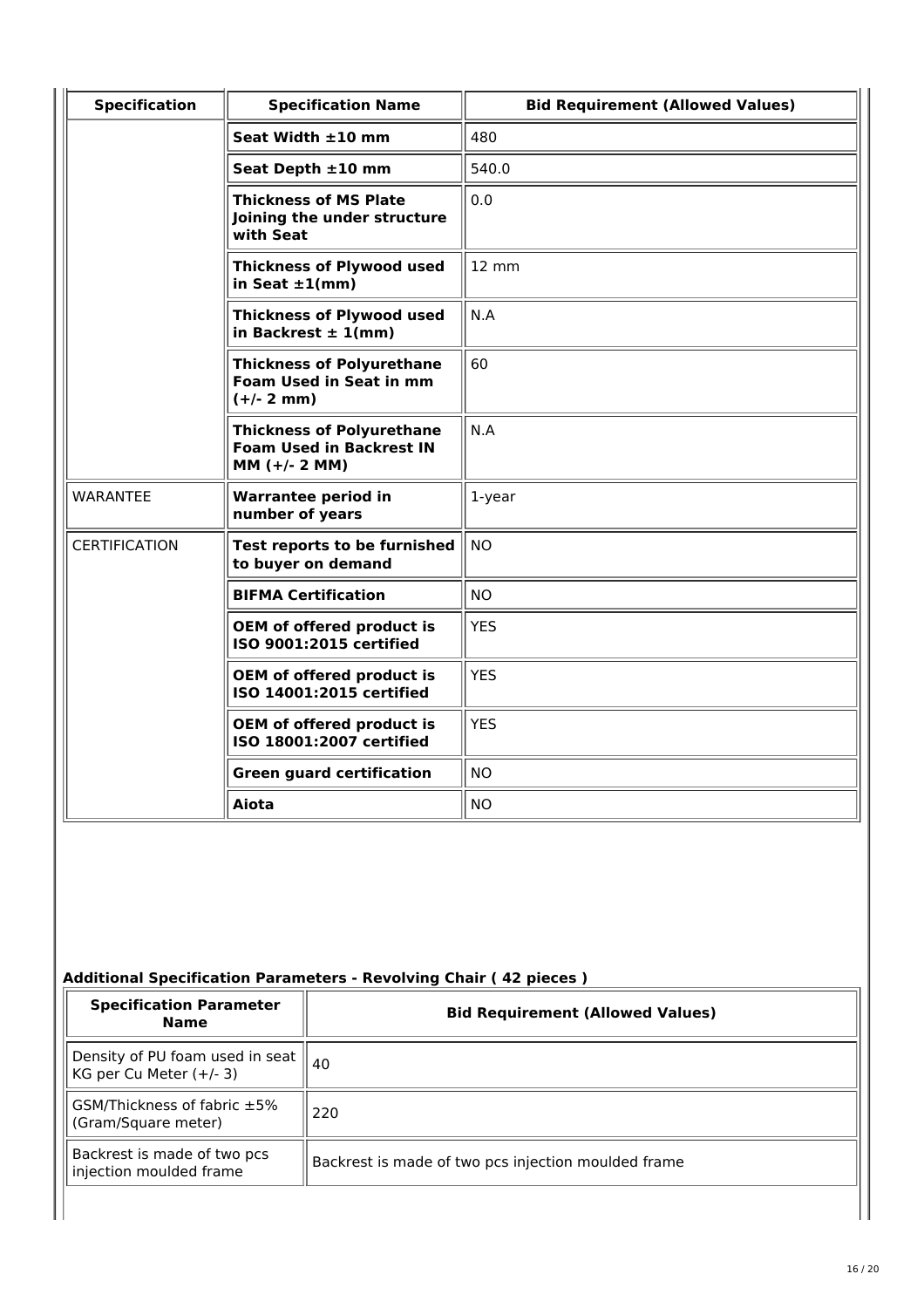| <b>Specification</b> | <b>Specification Name</b>                                                              | <b>Bid Requirement (Allowed Values)</b> |
|----------------------|----------------------------------------------------------------------------------------|-----------------------------------------|
|                      | Seat Width ±10 mm                                                                      | 480                                     |
|                      | Seat Depth ±10 mm                                                                      | 540.0                                   |
|                      | <b>Thickness of MS Plate</b><br>Joining the under structure<br>with Seat               | 0.0                                     |
|                      | <b>Thickness of Plywood used</b><br>in Seat $\pm 1$ (mm)                               | 12 mm                                   |
|                      | <b>Thickness of Plywood used</b><br>in Backrest $\pm$ 1(mm)                            | N.A                                     |
|                      | <b>Thickness of Polyurethane</b><br><b>Foam Used in Seat in mm</b><br>$(+/- 2 mm)$     | 60                                      |
|                      | <b>Thickness of Polyurethane</b><br><b>Foam Used in Backrest IN</b><br>$MM (+/- 2 MM)$ | N.A                                     |
| <b>WARANTEE</b>      | <b>Warrantee period in</b><br>number of years                                          | $1$ -year                               |
| <b>CERTIFICATION</b> | Test reports to be furnished<br>to buyer on demand                                     | <b>NO</b>                               |
|                      | <b>BIFMA Certification</b>                                                             | <b>NO</b>                               |
|                      | <b>OEM of offered product is</b><br>ISO 9001:2015 certified                            | <b>YES</b>                              |
|                      | <b>OEM of offered product is</b><br>ISO 14001:2015 certified                           | <b>YES</b>                              |
|                      | <b>OEM of offered product is</b><br>ISO 18001:2007 certified                           | <b>YES</b>                              |
|                      | <b>Green guard certification</b>                                                       | <b>NO</b>                               |
|                      | Aiota                                                                                  | <b>NO</b>                               |

# **Additional Specification Parameters - Revolving Chair ( 42 pieces )**

| <b>Specification Parameter</b><br><b>Name</b>              | <b>Bid Requirement (Allowed Values)</b>             |  |
|------------------------------------------------------------|-----------------------------------------------------|--|
| Density of PU foam used in seat<br>KG per Cu Meter (+/- 3) | 40                                                  |  |
| GSM/Thickness of fabric ±5%<br>(Gram/Square meter)         | 220                                                 |  |
| Backrest is made of two pcs<br>injection moulded frame     | Backrest is made of two pcs injection moulded frame |  |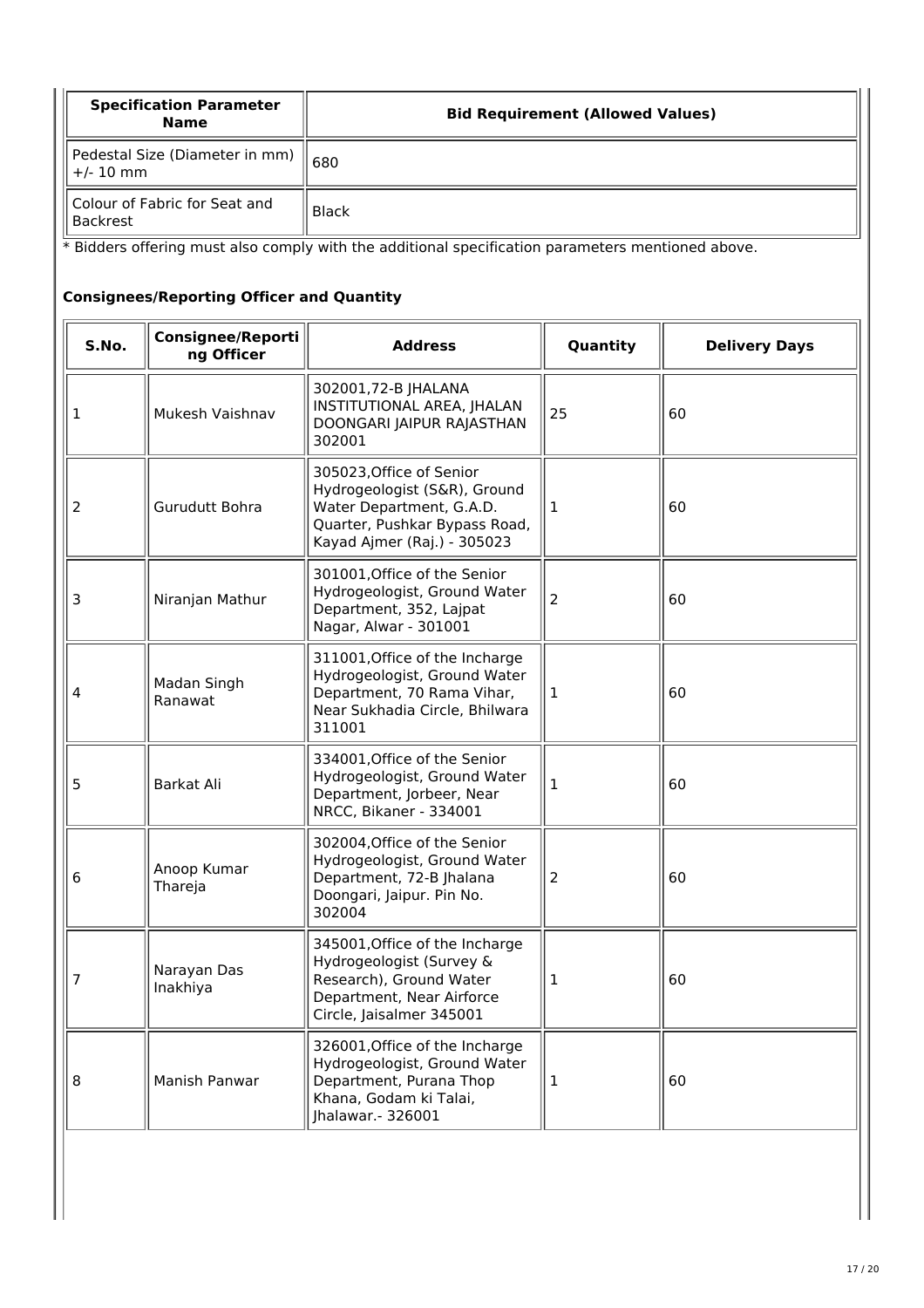| <b>Specification Parameter</b><br><b>Name</b>                                                     | <b>Bid Requirement (Allowed Values)</b> |  |  |
|---------------------------------------------------------------------------------------------------|-----------------------------------------|--|--|
| Pedestal Size (Diameter in mm)<br>$+/- 10$ mm                                                     | 680                                     |  |  |
| Colour of Fabric for Seat and<br><b>Backrest</b>                                                  | <b>Black</b>                            |  |  |
| * Bidders offering must also comply with the additional specification parameters mentioned above. |                                         |  |  |

| S.No.          | Consignee/Reporti<br>ng Officer | <b>Address</b>                                                                                                                                       | Quantity | <b>Delivery Days</b> |
|----------------|---------------------------------|------------------------------------------------------------------------------------------------------------------------------------------------------|----------|----------------------|
| 1              | Mukesh Vaishnav                 | 302001,72-B JHALANA<br>INSTITUTIONAL AREA, JHALAN<br>DOONGARI JAIPUR RAJASTHAN<br>302001                                                             | 25       | 60                   |
| $\overline{2}$ | Gurudutt Bohra                  | 305023, Office of Senior<br>Hydrogeologist (S&R), Ground<br>Water Department, G.A.D.<br>Quarter, Pushkar Bypass Road,<br>Kayad Ajmer (Raj.) - 305023 | 1        | 60                   |
| 3              | Niranjan Mathur                 | 301001, Office of the Senior<br>Hydrogeologist, Ground Water<br>Department, 352, Lajpat<br>Nagar, Alwar - 301001                                     | 2        | 60                   |
| 4              | Madan Singh<br>Ranawat          | 311001, Office of the Incharge<br>Hydrogeologist, Ground Water<br>Department, 70 Rama Vihar,<br>Near Sukhadia Circle, Bhilwara<br>311001             | 1        | 60                   |
| 5              | Barkat Ali                      | 334001, Office of the Senior<br>Hydrogeologist, Ground Water<br>Department, Jorbeer, Near<br>NRCC, Bikaner - 334001                                  | 1        | 60                   |
| 6              | Anoop Kumar<br>Thareja          | 302004, Office of the Senior<br>Hydrogeologist, Ground Water<br>Department, 72-B Jhalana<br>Doongari, Jaipur. Pin No.<br>302004                      | 2        | 60                   |
| 7              | Narayan Das<br>Inakhiya         | 345001, Office of the Incharge<br>Hydrogeologist (Survey &<br>Research), Ground Water<br>Department, Near Airforce<br>Circle, Jaisalmer 345001       | 1        | 60                   |
| 8              | Manish Panwar                   | 326001, Office of the Incharge<br>Hydrogeologist, Ground Water<br>Department, Purana Thop<br>Khana, Godam ki Talai,<br>Jhalawar. - 326001            | 1        | 60                   |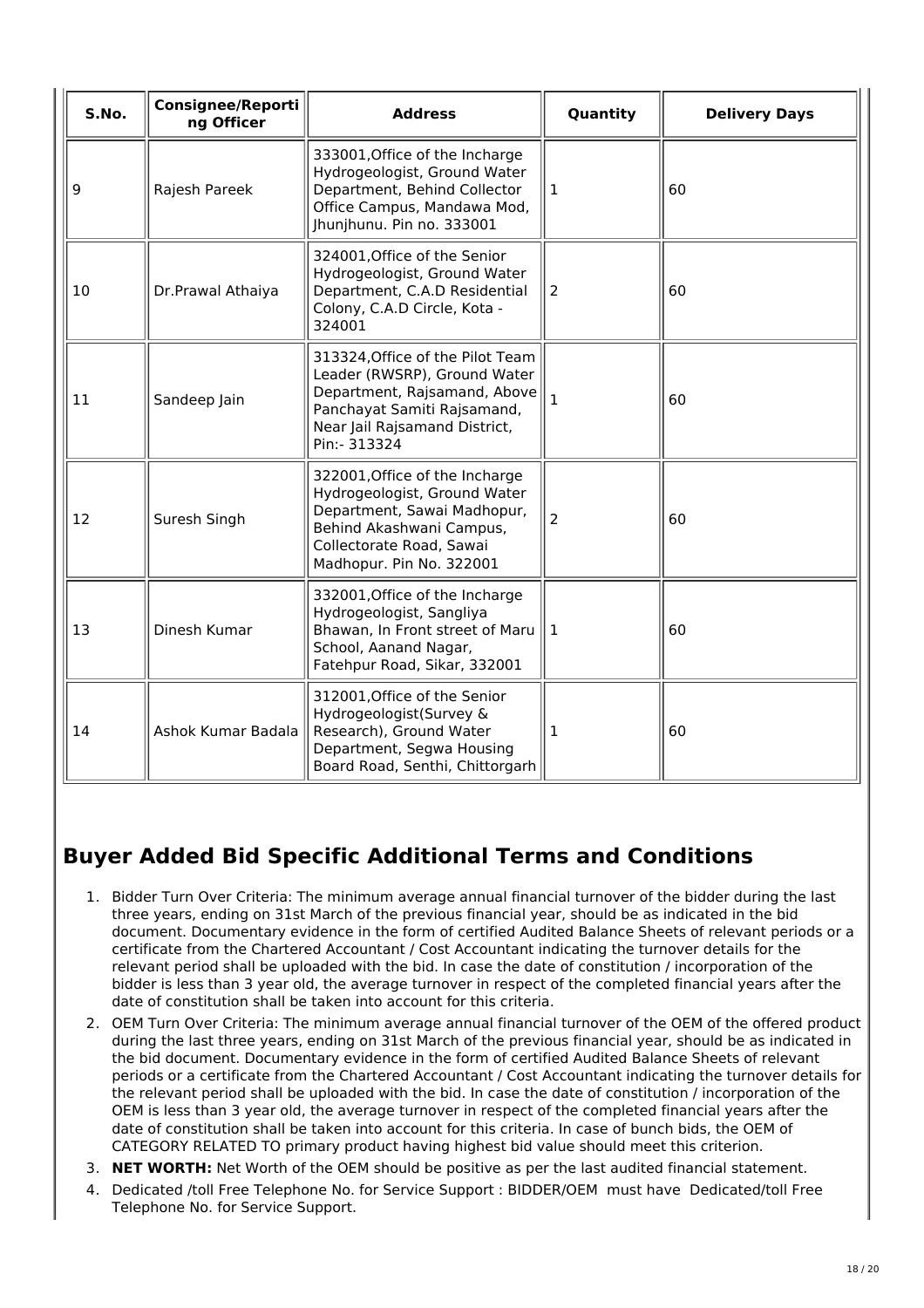| S.No. | <b>Consignee/Reporti</b><br>ng Officer | <b>Address</b>                                                                                                                                                                    | Quantity       | <b>Delivery Days</b> |
|-------|----------------------------------------|-----------------------------------------------------------------------------------------------------------------------------------------------------------------------------------|----------------|----------------------|
| 9     | Rajesh Pareek                          | 333001, Office of the Incharge<br>Hydrogeologist, Ground Water<br>Department, Behind Collector<br>Office Campus, Mandawa Mod,<br>Jhunjhunu. Pin no. 333001                        | $\mathbf{1}$   | 60                   |
| 10    | Dr.Prawal Athaiya                      | 324001, Office of the Senior<br>Hydrogeologist, Ground Water<br>Department, C.A.D Residential<br>Colony, C.A.D Circle, Kota -<br>324001                                           | $\overline{2}$ | 60                   |
| 11    | Sandeep Jain                           | 313324, Office of the Pilot Team<br>Leader (RWSRP), Ground Water<br>Department, Rajsamand, Above<br>Panchayat Samiti Rajsamand,<br>Near Jail Rajsamand District,<br>Pin:- 313324  | $\mathbf{1}$   | 60                   |
| 12    | Suresh Singh                           | 322001, Office of the Incharge<br>Hydrogeologist, Ground Water<br>Department, Sawai Madhopur,<br>Behind Akashwani Campus,<br>Collectorate Road, Sawai<br>Madhopur. Pin No. 322001 | $\overline{2}$ | 60                   |
| 13    | Dinesh Kumar                           | 332001, Office of the Incharge<br>Hydrogeologist, Sangliya<br>Bhawan, In Front street of Maru<br>School, Aanand Nagar,<br>Fatehpur Road, Sikar, 332001                            | 1              | 60                   |
| 14    | Ashok Kumar Badala                     | 312001, Office of the Senior<br>Hydrogeologist(Survey &<br>Research), Ground Water<br>Department, Segwa Housing<br>Board Road, Senthi, Chittorgarh                                | 1              | 60                   |

# **Buyer Added Bid Specific Additional Terms and Conditions**

- 1. Bidder Turn Over Criteria: The minimum average annual financial turnover of the bidder during the last three years, ending on 31st March of the previous financial year, should be as indicated in the bid document. Documentary evidence in the form of certified Audited Balance Sheets of relevant periods or a certificate from the Chartered Accountant / Cost Accountant indicating the turnover details for the relevant period shall be uploaded with the bid. In case the date of constitution / incorporation of the bidder is less than 3 year old, the average turnover in respect of the completed financial years after the date of constitution shall be taken into account for this criteria.
- 2. OEM Turn Over Criteria: The minimum average annual financial turnover of the OEM of the offered product during the last three years, ending on 31st March of the previous financial year, should be as indicated in the bid document. Documentary evidence in the form of certified Audited Balance Sheets of relevant periods or a certificate from the Chartered Accountant / Cost Accountant indicating the turnover details for the relevant period shall be uploaded with the bid. In case the date of constitution / incorporation of the OEM is less than 3 year old, the average turnover in respect of the completed financial years after the date of constitution shall be taken into account for this criteria. In case of bunch bids, the OEM of CATEGORY RELATED TO primary product having highest bid value should meet this criterion.
- 3. **NET WORTH:** Net Worth of the OEM should be positive as per the last audited financial statement.
- 4. Dedicated /toll Free Telephone No. for Service Support : BIDDER/OEM must have Dedicated/toll Free Telephone No. for Service Support.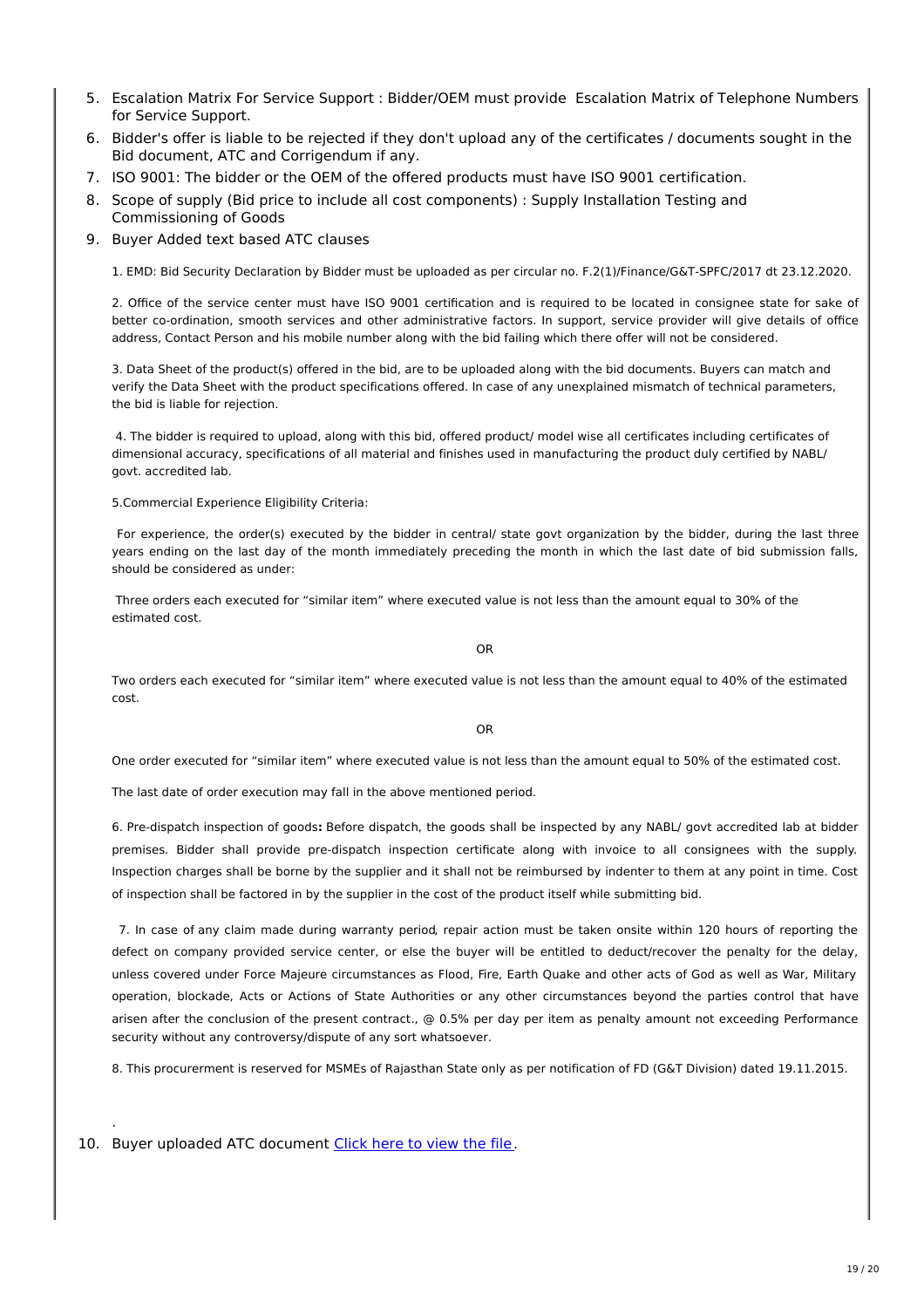- 5. Escalation Matrix For Service Support : Bidder/OEM must provide Escalation Matrix of Telephone Numbers for Service Support.
- 6. Bidder's offer is liable to be rejected if they don't upload any of the certificates / documents sought in the Bid document, ATC and Corrigendum if any.
- 7. ISO 9001: The bidder or the OEM of the offered products must have ISO 9001 certification.
- 8. Scope of supply (Bid price to include all cost components) : Supply Installation Testing and Commissioning of Goods
- 9. Buyer Added text based ATC clauses

1. EMD: Bid Security Declaration by Bidder must be uploaded as per circular no. F.2(1)/Finance/G&T-SPFC/2017 dt 23.12.2020.

2. Office of the service center must have ISO 9001 certification and is required to be located in consignee state for sake of better co-ordination, smooth services and other administrative factors. In support, service provider will give details of office address, Contact Person and his mobile number along with the bid failing which there offer will not be considered.

3. Data Sheet of the product(s) offered in the bid, are to be uploaded along with the bid documents. Buyers can match and verify the Data Sheet with the product specifications offered. In case of any unexplained mismatch of technical parameters, the bid is liable for rejection.

4. The bidder is required to upload, along with this bid, offered product/ model wise all certificates including certificates of dimensional accuracy, specifications of all material and finishes used in manufacturing the product duly certified by NABL/ govt. accredited lab.

5.Commercial Experience Eligibility Criteria:

For experience, the order(s) executed by the bidder in central/ state govt organization by the bidder, during the last three years ending on the last day of the month immediately preceding the month in which the last date of bid submission falls, should be considered as under:

Three orders each executed for "similar item" where executed value is not less than the amount equal to 30% of the estimated cost.

OR

Two orders each executed for "similar item" where executed value is not less than the amount equal to 40% of the estimated cost.

OR

One order executed for "similar item" where executed value is not less than the amount equal to 50% of the estimated cost.

The last date of order execution may fall in the above mentioned period.

6. Pre-dispatch inspection of goods**:** Before dispatch, the goods shall be inspected by any NABL/ govt accredited lab at bidder premises. Bidder shall provide pre-dispatch inspection certificate along with invoice to all consignees with the supply. Inspection charges shall be borne by the supplier and it shall not be reimbursed by indenter to them at any point in time. Cost of inspection shall be factored in by the supplier in the cost of the product itself while submitting bid.

7. In case of any claim made during warranty period, repair action must be taken onsite within 120 hours of reporting the defect on company provided service center, or else the buyer will be entitled to deduct/recover the penalty for the delay, unless covered under Force Majeure circumstances as Flood, Fire, Earth Quake and other acts of God as well as War, Military operation, blockade, Acts or Actions of State Authorities or any other circumstances beyond the parties control that have arisen after the conclusion of the present contract., @ 0.5% per day per item as penalty amount not exceeding Performance security without any controversy/dispute of any sort whatsoever.

8. This procurerment is reserved for MSMEs of Rajasthan State only as per notification of FD (G&T Division) dated 19.11.2015.

10. Buyer uploaded ATC document [Click](https://fulfilment.gem.gov.in/contract/slafds?fileDownloadPath=SLA_UPLOAD_PATH/2021/Jul/GEM_2021_B_1296374/CLM0010/Bid Security Declaration_1f1ec2c5-665e-4f71-9041-622a87d348e4_segwdjpr.docx) here to view the file.

.